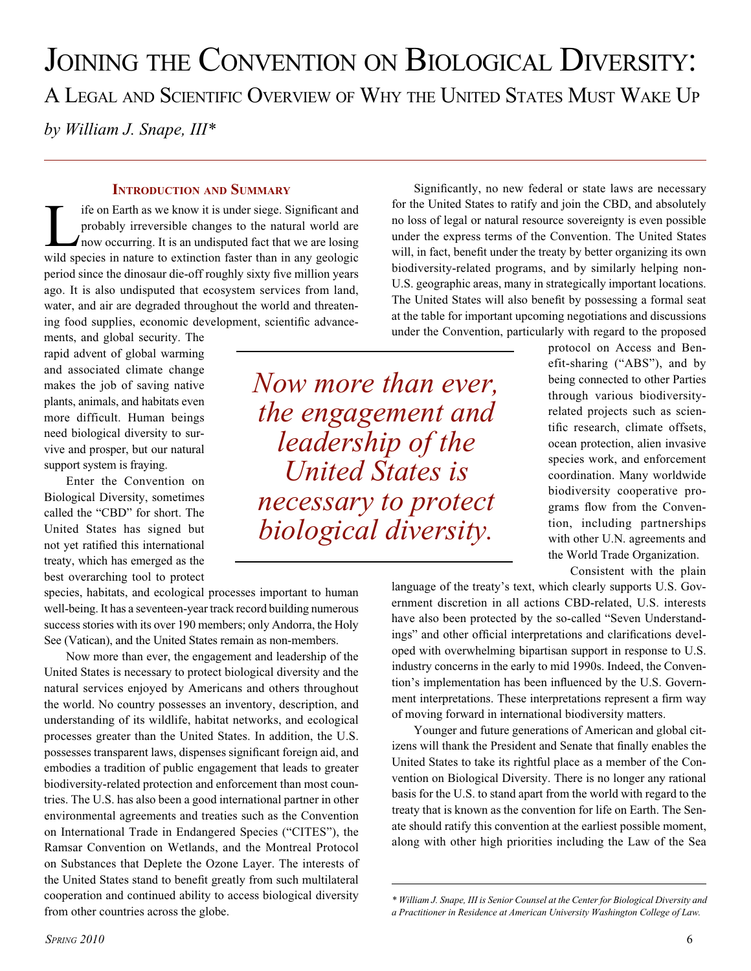JOINING THE CONVENTION ON BIOLOGICAL DIVERSITY: A LEGAL AND SCIENTIFIC OVERVIEW OF WHY THE UNITED STATES MUST WAKE UP *by William J. Snape, III\**

#### **INTRODUCTION AND SUMMARY**

If if on Earth as we know it is under siege. Significant and<br>probably irreversible changes to the natural world are<br>now occurring. It is an undisputed fact that we are losing<br>wild species in nature to extinction factor tha probably irreversible changes to the natural world are wild species in nature to extinction faster than in any geologic period since the dinosaur die-off roughly sixty five million years ago. It is also undisputed that ecosystem services from land, water, and air are degraded throughout the world and threatening food supplies, economic development, scientific advance-

ments, and global security. The rapid advent of global warming and associated climate change makes the job of saving native plants, animals, and habitats even more difficult. Human beings need biological diversity to survive and prosper, but our natural support system is fraying.

Enter the Convention on Biological Diversity, sometimes called the "CBD" for short. The United States has signed but not yet ratified this international treaty, which has emerged as the best overarching tool to protect

species, habitats, and ecological processes important to human well-being. It has a seventeen-year track record building numerous success stories with its over 190 members; only Andorra, the Holy See (Vatican), and the United States remain as non-members.

Now more than ever, the engagement and leadership of the United States is necessary to protect biological diversity and the natural services enjoyed by Americans and others throughout the world. No country possesses an inventory, description, and understanding of its wildlife, habitat networks, and ecological processes greater than the United States. In addition, the U.S. possesses transparent laws, dispenses significant foreign aid, and embodies a tradition of public engagement that leads to greater biodiversity-related protection and enforcement than most countries. The U.S. has also been a good international partner in other environmental agreements and treaties such as the Convention on International Trade in Endangered Species ("CITES"), the Ramsar Convention on Wetlands, and the Montreal Protocol on Substances that Deplete the Ozone Layer. The interests of the United States stand to benefit greatly from such multilateral cooperation and continued ability to access biological diversity from other countries across the globe.

under the express terms of the Convention. The United States will, in fact, benefit under the treaty by better organizing its own biodiversity-related programs, and by similarly helping non-U.S. geographic areas, many in strategically important locations. The United States will also benefit by possessing a formal seat at the table for important upcoming negotiations and discussions under the Convention, particularly with regard to the proposed

Significantly, no new federal or state laws are necessary for the United States to ratify and join the CBD, and absolutely no loss of legal or natural resource sovereignty is even possible

*Now more than ever, the engagement and leadership of the United States is necessary to protect biological diversity.*

protocol on Access and Benefit-sharing ("ABS"), and by being connected to other Parties through various biodiversityrelated projects such as scientific research, climate offsets, ocean protection, alien invasive species work, and enforcement coordination. Many worldwide biodiversity cooperative programs flow from the Convention, including partnerships with other U.N. agreements and the World Trade Organization.

Consistent with the plain

language of the treaty's text, which clearly supports U.S. Government discretion in all actions CBD-related, U.S. interests have also been protected by the so-called "Seven Understandings" and other official interpretations and clarifications developed with overwhelming bipartisan support in response to U.S. industry concerns in the early to mid 1990s. Indeed, the Convention's implementation has been influenced by the U.S. Government interpretations. These interpretations represent a firm way of moving forward in international biodiversity matters.

Younger and future generations of American and global citizens will thank the President and Senate that finally enables the United States to take its rightful place as a member of the Convention on Biological Diversity. There is no longer any rational basis for the U.S. to stand apart from the world with regard to the treaty that is known as the convention for life on Earth. The Senate should ratify this convention at the earliest possible moment, along with other high priorities including the Law of the Sea

*<sup>\*</sup> William J. Snape, III is Senior Counsel at the Center for Biological Diversity and a Practitioner in Residence at American University Washington College of Law.*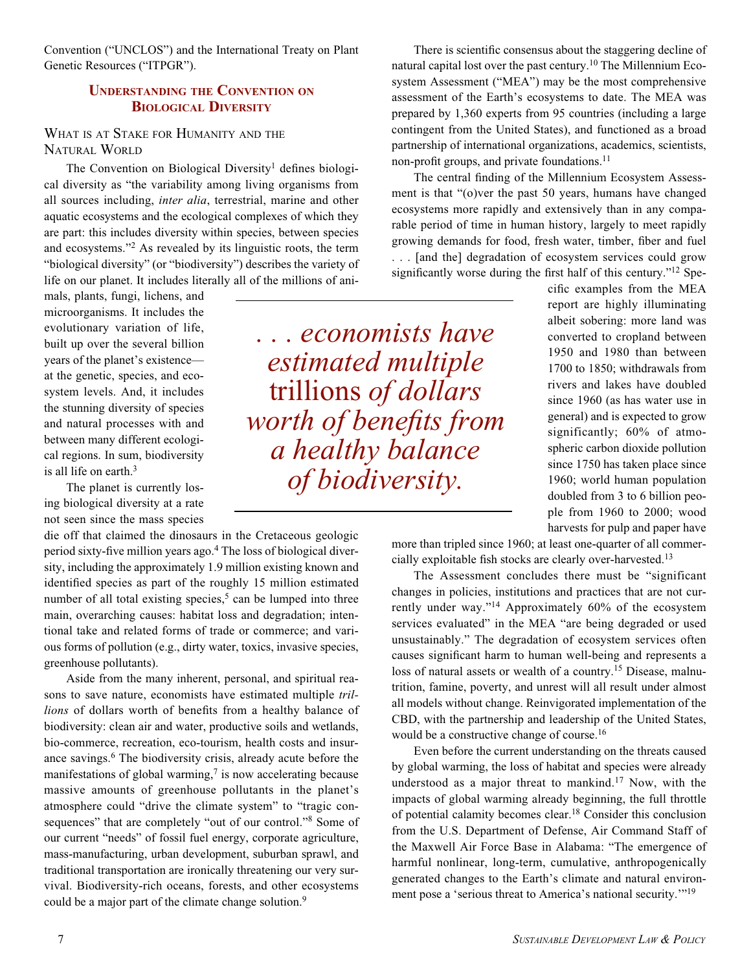Convention ("UNCLOS") and the International Treaty on Plant Genetic Resources ("ITPGR").

## **UNDERSTANDING THE CONVENTION ON BIOLOGICAL DIVERSITY**

## WHAT IS AT STAKE FOR HUMANITY AND THE NATURAL WORLD

The Convention on Biological Diversity<sup>1</sup> defines biological diversity as "the variability among living organisms from all sources including, *inter alia*, terrestrial, marine and other aquatic ecosystems and the ecological complexes of which they are part: this includes diversity within species, between species and ecosystems."2 As revealed by its linguistic roots, the term "biological diversity" (or "biodiversity") describes the variety of life on our planet. It includes literally all of the millions of ani-

mals, plants, fungi, lichens, and microorganisms. It includes the evolutionary variation of life, built up over the several billion years of the planet's existence at the genetic, species, and ecosystem levels. And, it includes the stunning diversity of species and natural processes with and between many different ecological regions. In sum, biodiversity is all life on earth.<sup>3</sup>

The planet is currently losing biological diversity at a rate not seen since the mass species

die off that claimed the dinosaurs in the Cretaceous geologic period sixty-five million years ago.4 The loss of biological diversity, including the approximately 1.9 million existing known and identified species as part of the roughly 15 million estimated number of all total existing species,<sup>5</sup> can be lumped into three main, overarching causes: habitat loss and degradation; intentional take and related forms of trade or commerce; and various forms of pollution (e.g., dirty water, toxics, invasive species, greenhouse pollutants).

Aside from the many inherent, personal, and spiritual reasons to save nature, economists have estimated multiple *trillions* of dollars worth of benefits from a healthy balance of biodiversity: clean air and water, productive soils and wetlands, bio-commerce, recreation, eco-tourism, health costs and insurance savings.<sup>6</sup> The biodiversity crisis, already acute before the manifestations of global warming, $\frac{7}{1}$  is now accelerating because massive amounts of greenhouse pollutants in the planet's atmosphere could "drive the climate system" to "tragic consequences" that are completely "out of our control."<sup>8</sup> Some of our current "needs" of fossil fuel energy, corporate agriculture, mass-manufacturing, urban development, suburban sprawl, and traditional transportation are ironically threatening our very survival. Biodiversity-rich oceans, forests, and other ecosystems could be a major part of the climate change solution.<sup>9</sup>

*. . . economists have estimated multiple*  trillions *of dollars worth of benefits from a healthy balance of biodiversity.*

There is scientific consensus about the staggering decline of natural capital lost over the past century.<sup>10</sup> The Millennium Ecosystem Assessment ("MEA") may be the most comprehensive assessment of the Earth's ecosystems to date. The MEA was prepared by 1,360 experts from 95 countries (including a large contingent from the United States), and functioned as a broad partnership of international organizations, academics, scientists, non-profit groups, and private foundations.<sup>11</sup>

The central finding of the Millennium Ecosystem Assessment is that "(o)ver the past 50 years, humans have changed ecosystems more rapidly and extensively than in any comparable period of time in human history, largely to meet rapidly growing demands for food, fresh water, timber, fiber and fuel . . . [and the] degradation of ecosystem services could grow significantly worse during the first half of this century."<sup>12</sup> Spe-

cific examples from the MEA report are highly illuminating albeit sobering: more land was converted to cropland between 1950 and 1980 than between 1700 to 1850; withdrawals from rivers and lakes have doubled since 1960 (as has water use in general) and is expected to grow significantly; 60% of atmospheric carbon dioxide pollution since 1750 has taken place since 1960; world human population doubled from 3 to 6 billion people from 1960 to 2000; wood harvests for pulp and paper have

more than tripled since 1960; at least one-quarter of all commercially exploitable fish stocks are clearly over-harvested.13

The Assessment concludes there must be "significant changes in policies, institutions and practices that are not currently under way."14 Approximately 60% of the ecosystem services evaluated" in the MEA "are being degraded or used unsustainably." The degradation of ecosystem services often causes significant harm to human well-being and represents a loss of natural assets or wealth of a country.<sup>15</sup> Disease, malnutrition, famine, poverty, and unrest will all result under almost all models without change. Reinvigorated implementation of the CBD, with the partnership and leadership of the United States, would be a constructive change of course.<sup>16</sup>

Even before the current understanding on the threats caused by global warming, the loss of habitat and species were already understood as a major threat to mankind.<sup>17</sup> Now, with the impacts of global warming already beginning, the full throttle of potential calamity becomes clear.18 Consider this conclusion from the U.S. Department of Defense, Air Command Staff of the Maxwell Air Force Base in Alabama: "The emergence of harmful nonlinear, long-term, cumulative, anthropogenically generated changes to the Earth's climate and natural environment pose a 'serious threat to America's national security.'"19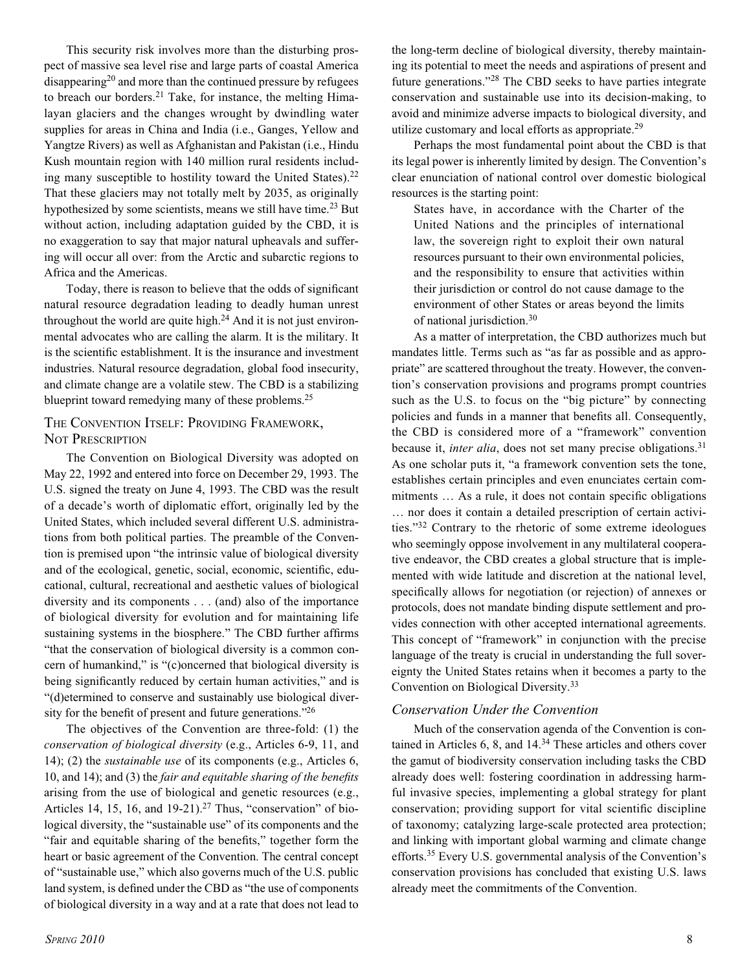This security risk involves more than the disturbing prospect of massive sea level rise and large parts of coastal America disappearing<sup>20</sup> and more than the continued pressure by refugees to breach our borders.<sup>21</sup> Take, for instance, the melting Himalayan glaciers and the changes wrought by dwindling water supplies for areas in China and India (i.e., Ganges, Yellow and Yangtze Rivers) as well as Afghanistan and Pakistan (i.e., Hindu Kush mountain region with 140 million rural residents including many susceptible to hostility toward the United States). $22$ That these glaciers may not totally melt by 2035, as originally hypothesized by some scientists, means we still have time.<sup>23</sup> But without action, including adaptation guided by the CBD, it is no exaggeration to say that major natural upheavals and suffering will occur all over: from the Arctic and subarctic regions to Africa and the Americas.

Today, there is reason to believe that the odds of significant natural resource degradation leading to deadly human unrest throughout the world are quite high. $^{24}$  And it is not just environmental advocates who are calling the alarm. It is the military. It is the scientific establishment. It is the insurance and investment industries. Natural resource degradation, global food insecurity, and climate change are a volatile stew. The CBD is a stabilizing blueprint toward remedying many of these problems.25

## THE CONVENTION ITSELF: PROVIDING FRAMEWORK, NOT PRESCRIPTION

The Convention on Biological Diversity was adopted on May 22, 1992 and entered into force on December 29, 1993. The U.S. signed the treaty on June 4, 1993. The CBD was the result of a decade's worth of diplomatic effort, originally led by the United States, which included several different U.S. administrations from both political parties. The preamble of the Convention is premised upon "the intrinsic value of biological diversity and of the ecological, genetic, social, economic, scientific, educational, cultural, recreational and aesthetic values of biological diversity and its components . . . (and) also of the importance of biological diversity for evolution and for maintaining life sustaining systems in the biosphere." The CBD further affirms "that the conservation of biological diversity is a common concern of humankind," is "(c)oncerned that biological diversity is being significantly reduced by certain human activities," and is "(d)etermined to conserve and sustainably use biological diversity for the benefit of present and future generations."26

The objectives of the Convention are three-fold: (1) the *conservation of biological diversity* (e.g., Articles 6-9, 11, and 14); (2) the *sustainable use* of its components (e.g., Articles 6, 10, and 14); and (3) the *fair and equitable sharing of the benefits*  arising from the use of biological and genetic resources (e.g., Articles 14, 15, 16, and  $19-21$ ).<sup>27</sup> Thus, "conservation" of biological diversity, the "sustainable use" of its components and the "fair and equitable sharing of the benefits," together form the heart or basic agreement of the Convention. The central concept of "sustainable use," which also governs much of the U.S. public land system, is defined under the CBD as "the use of components of biological diversity in a way and at a rate that does not lead to

Perhaps the most fundamental point about the CBD is that its legal power is inherently limited by design. The Convention's clear enunciation of national control over domestic biological resources is the starting point:

States have, in accordance with the Charter of the United Nations and the principles of international law, the sovereign right to exploit their own natural resources pursuant to their own environmental policies, and the responsibility to ensure that activities within their jurisdiction or control do not cause damage to the environment of other States or areas beyond the limits of national jurisdiction.30

As a matter of interpretation, the CBD authorizes much but mandates little. Terms such as "as far as possible and as appropriate" are scattered throughout the treaty. However, the convention's conservation provisions and programs prompt countries such as the U.S. to focus on the "big picture" by connecting policies and funds in a manner that benefits all. Consequently, the CBD is considered more of a "framework" convention because it, *inter alia*, does not set many precise obligations.<sup>31</sup> As one scholar puts it, "a framework convention sets the tone, establishes certain principles and even enunciates certain commitments ... As a rule, it does not contain specific obligations … nor does it contain a detailed prescription of certain activities."32 Contrary to the rhetoric of some extreme ideologues who seemingly oppose involvement in any multilateral cooperative endeavor, the CBD creates a global structure that is implemented with wide latitude and discretion at the national level, specifically allows for negotiation (or rejection) of annexes or protocols, does not mandate binding dispute settlement and provides connection with other accepted international agreements. This concept of "framework" in conjunction with the precise language of the treaty is crucial in understanding the full sovereignty the United States retains when it becomes a party to the Convention on Biological Diversity.33

## *Conservation Under the Convention*

Much of the conservation agenda of the Convention is contained in Articles 6, 8, and 14.34 These articles and others cover the gamut of biodiversity conservation including tasks the CBD already does well: fostering coordination in addressing harmful invasive species, implementing a global strategy for plant conservation; providing support for vital scientific discipline of taxonomy; catalyzing large-scale protected area protection; and linking with important global warming and climate change efforts.35 Every U.S. governmental analysis of the Convention's conservation provisions has concluded that existing U.S. laws already meet the commitments of the Convention.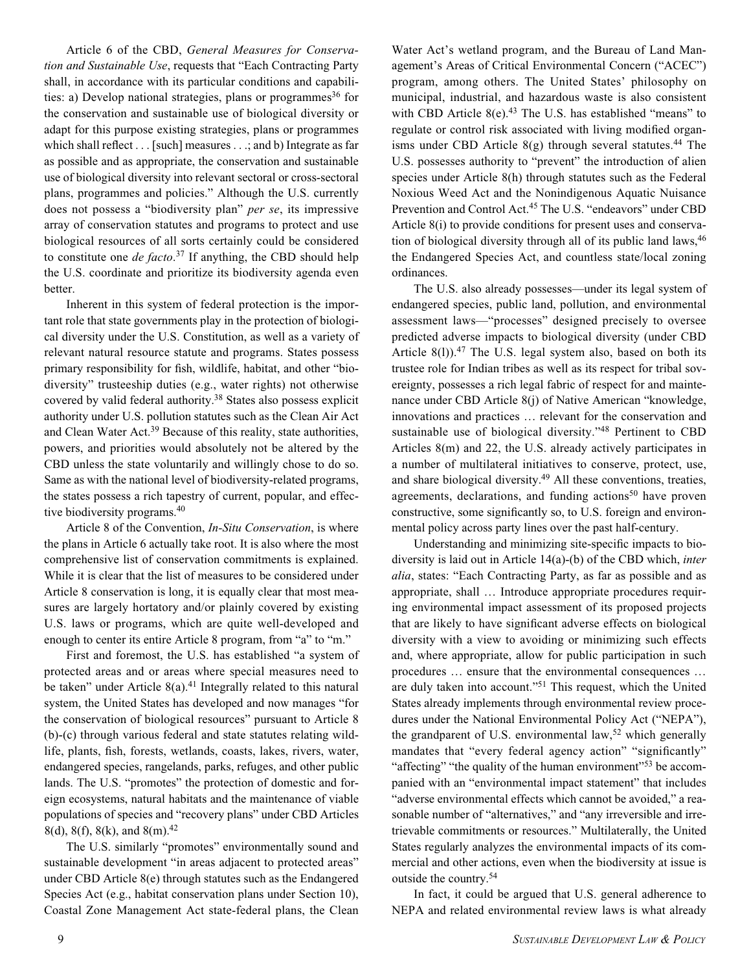Article 6 of the CBD, *General Measures for Conservation and Sustainable Use*, requests that "Each Contracting Party shall, in accordance with its particular conditions and capabilities: a) Develop national strategies, plans or programmes<sup>36</sup> for the conservation and sustainable use of biological diversity or adapt for this purpose existing strategies, plans or programmes which shall reflect . . . [such] measures . . .; and b) Integrate as far as possible and as appropriate, the conservation and sustainable use of biological diversity into relevant sectoral or cross-sectoral plans, programmes and policies." Although the U.S. currently does not possess a "biodiversity plan" *per se*, its impressive array of conservation statutes and programs to protect and use biological resources of all sorts certainly could be considered to constitute one *de facto*. <sup>37</sup> If anything, the CBD should help the U.S. coordinate and prioritize its biodiversity agenda even better.

Inherent in this system of federal protection is the important role that state governments play in the protection of biological diversity under the U.S. Constitution, as well as a variety of relevant natural resource statute and programs. States possess primary responsibility for fish, wildlife, habitat, and other "biodiversity" trusteeship duties (e.g., water rights) not otherwise covered by valid federal authority.38 States also possess explicit authority under U.S. pollution statutes such as the Clean Air Act and Clean Water Act.39 Because of this reality, state authorities, powers, and priorities would absolutely not be altered by the CBD unless the state voluntarily and willingly chose to do so. Same as with the national level of biodiversity-related programs, the states possess a rich tapestry of current, popular, and effective biodiversity programs.40

Article 8 of the Convention, *In-Situ Conservation*, is where the plans in Article 6 actually take root. It is also where the most comprehensive list of conservation commitments is explained. While it is clear that the list of measures to be considered under Article 8 conservation is long, it is equally clear that most measures are largely hortatory and/or plainly covered by existing U.S. laws or programs, which are quite well-developed and enough to center its entire Article 8 program, from "a" to "m."

First and foremost, the U.S. has established "a system of protected areas and or areas where special measures need to be taken" under Article  $8(a)$ .<sup>41</sup> Integrally related to this natural system, the United States has developed and now manages "for the conservation of biological resources" pursuant to Article 8 (b)-(c) through various federal and state statutes relating wildlife, plants, fish, forests, wetlands, coasts, lakes, rivers, water, endangered species, rangelands, parks, refuges, and other public lands. The U.S. "promotes" the protection of domestic and foreign ecosystems, natural habitats and the maintenance of viable populations of species and "recovery plans" under CBD Articles 8(d), 8(f), 8(k), and 8(m).<sup>42</sup>

The U.S. similarly "promotes" environmentally sound and sustainable development "in areas adjacent to protected areas" under CBD Article 8(e) through statutes such as the Endangered Species Act (e.g., habitat conservation plans under Section 10), Coastal Zone Management Act state-federal plans, the Clean

Water Act's wetland program, and the Bureau of Land Management's Areas of Critical Environmental Concern ("ACEC") program, among others. The United States' philosophy on municipal, industrial, and hazardous waste is also consistent with CBD Article  $8(e)$ .<sup>43</sup> The U.S. has established "means" to regulate or control risk associated with living modified organisms under CBD Article  $8(g)$  through several statutes.<sup>44</sup> The U.S. possesses authority to "prevent" the introduction of alien species under Article 8(h) through statutes such as the Federal Noxious Weed Act and the Nonindigenous Aquatic Nuisance Prevention and Control Act.45 The U.S. "endeavors" under CBD Article 8(i) to provide conditions for present uses and conservation of biological diversity through all of its public land laws,  $46$ the Endangered Species Act, and countless state/local zoning ordinances.

The U.S. also already possesses—under its legal system of endangered species, public land, pollution, and environmental assessment laws—"processes" designed precisely to oversee predicted adverse impacts to biological diversity (under CBD Article  $8(1)$ <sup>47</sup>. The U.S. legal system also, based on both its trustee role for Indian tribes as well as its respect for tribal sovereignty, possesses a rich legal fabric of respect for and maintenance under CBD Article 8(j) of Native American "knowledge, innovations and practices … relevant for the conservation and sustainable use of biological diversity."48 Pertinent to CBD Articles 8(m) and 22, the U.S. already actively participates in a number of multilateral initiatives to conserve, protect, use, and share biological diversity.49 All these conventions, treaties, agreements, declarations, and funding actions<sup>50</sup> have proven constructive, some significantly so, to U.S. foreign and environmental policy across party lines over the past half-century.

Understanding and minimizing site-specific impacts to biodiversity is laid out in Article 14(a)-(b) of the CBD which, *inter alia*, states: "Each Contracting Party, as far as possible and as appropriate, shall … Introduce appropriate procedures requiring environmental impact assessment of its proposed projects that are likely to have significant adverse effects on biological diversity with a view to avoiding or minimizing such effects and, where appropriate, allow for public participation in such procedures … ensure that the environmental consequences … are duly taken into account."51 This request, which the United States already implements through environmental review procedures under the National Environmental Policy Act ("NEPA"), the grandparent of U.S. environmental law,<sup>52</sup> which generally mandates that "every federal agency action" "significantly" "affecting" "the quality of the human environment"<sup>53</sup> be accompanied with an "environmental impact statement" that includes "adverse environmental effects which cannot be avoided," a reasonable number of "alternatives," and "any irreversible and irretrievable commitments or resources." Multilaterally, the United States regularly analyzes the environmental impacts of its commercial and other actions, even when the biodiversity at issue is outside the country.54

In fact, it could be argued that U.S. general adherence to NEPA and related environmental review laws is what already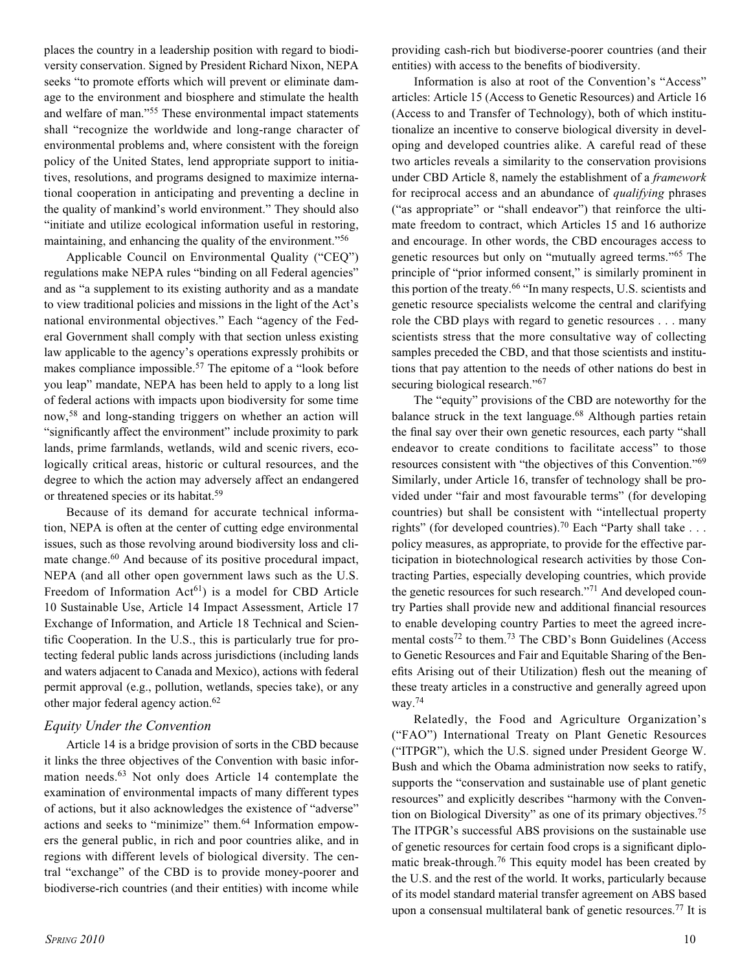places the country in a leadership position with regard to biodiversity conservation. Signed by President Richard Nixon, NEPA seeks "to promote efforts which will prevent or eliminate damage to the environment and biosphere and stimulate the health and welfare of man."55 These environmental impact statements shall "recognize the worldwide and long-range character of environmental problems and, where consistent with the foreign policy of the United States, lend appropriate support to initiatives, resolutions, and programs designed to maximize international cooperation in anticipating and preventing a decline in the quality of mankind's world environment." They should also "initiate and utilize ecological information useful in restoring, maintaining, and enhancing the quality of the environment."<sup>56</sup>

Applicable Council on Environmental Quality ("CEQ") regulations make NEPA rules "binding on all Federal agencies" and as "a supplement to its existing authority and as a mandate to view traditional policies and missions in the light of the Act's national environmental objectives." Each "agency of the Federal Government shall comply with that section unless existing law applicable to the agency's operations expressly prohibits or makes compliance impossible.<sup>57</sup> The epitome of a "look before" you leap" mandate, NEPA has been held to apply to a long list of federal actions with impacts upon biodiversity for some time now,58 and long-standing triggers on whether an action will "significantly affect the environment" include proximity to park lands, prime farmlands, wetlands, wild and scenic rivers, ecologically critical areas, historic or cultural resources, and the degree to which the action may adversely affect an endangered or threatened species or its habitat.59

Because of its demand for accurate technical information, NEPA is often at the center of cutting edge environmental issues, such as those revolving around biodiversity loss and climate change.<sup>60</sup> And because of its positive procedural impact, NEPA (and all other open government laws such as the U.S. Freedom of Information  $Act^{61}$ ) is a model for CBD Article 10 Sustainable Use, Article 14 Impact Assessment, Article 17 Exchange of Information, and Article 18 Technical and Scientific Cooperation. In the U.S., this is particularly true for protecting federal public lands across jurisdictions (including lands and waters adjacent to Canada and Mexico), actions with federal permit approval (e.g., pollution, wetlands, species take), or any other major federal agency action.<sup>62</sup>

#### *Equity Under the Convention*

Article 14 is a bridge provision of sorts in the CBD because it links the three objectives of the Convention with basic information needs.63 Not only does Article 14 contemplate the examination of environmental impacts of many different types of actions, but it also acknowledges the existence of "adverse" actions and seeks to "minimize" them.64 Information empowers the general public, in rich and poor countries alike, and in regions with different levels of biological diversity. The central "exchange" of the CBD is to provide money-poorer and biodiverse-rich countries (and their entities) with income while

providing cash-rich but biodiverse-poorer countries (and their entities) with access to the benefits of biodiversity.

Information is also at root of the Convention's "Access" articles: Article 15 (Access to Genetic Resources) and Article 16 (Access to and Transfer of Technology), both of which institutionalize an incentive to conserve biological diversity in developing and developed countries alike. A careful read of these two articles reveals a similarity to the conservation provisions under CBD Article 8, namely the establishment of a *framework* for reciprocal access and an abundance of *qualifying* phrases ("as appropriate" or "shall endeavor") that reinforce the ultimate freedom to contract, which Articles 15 and 16 authorize and encourage. In other words, the CBD encourages access to genetic resources but only on "mutually agreed terms."65 The principle of "prior informed consent," is similarly prominent in this portion of the treaty.66 "In many respects, U.S. scientists and genetic resource specialists welcome the central and clarifying role the CBD plays with regard to genetic resources . . . many scientists stress that the more consultative way of collecting samples preceded the CBD, and that those scientists and institutions that pay attention to the needs of other nations do best in securing biological research."<sup>67</sup>

The "equity" provisions of the CBD are noteworthy for the balance struck in the text language.<sup>68</sup> Although parties retain the final say over their own genetic resources, each party "shall endeavor to create conditions to facilitate access" to those resources consistent with "the objectives of this Convention."69 Similarly, under Article 16, transfer of technology shall be provided under "fair and most favourable terms" (for developing countries) but shall be consistent with "intellectual property rights" (for developed countries).<sup>70</sup> Each "Party shall take . . . policy measures, as appropriate, to provide for the effective participation in biotechnological research activities by those Contracting Parties, especially developing countries, which provide the genetic resources for such research."71 And developed country Parties shall provide new and additional financial resources to enable developing country Parties to meet the agreed incremental costs<sup>72</sup> to them.<sup>73</sup> The CBD's Bonn Guidelines (Access to Genetic Resources and Fair and Equitable Sharing of the Benefits Arising out of their Utilization) flesh out the meaning of these treaty articles in a constructive and generally agreed upon way.74

Relatedly, the Food and Agriculture Organization's ("FAO") International Treaty on Plant Genetic Resources ("ITPGR"), which the U.S. signed under President George W. Bush and which the Obama administration now seeks to ratify, supports the "conservation and sustainable use of plant genetic resources" and explicitly describes "harmony with the Convention on Biological Diversity" as one of its primary objectives.75 The ITPGR's successful ABS provisions on the sustainable use of genetic resources for certain food crops is a significant diplomatic break-through.76 This equity model has been created by the U.S. and the rest of the world. It works, particularly because of its model standard material transfer agreement on ABS based upon a consensual multilateral bank of genetic resources.77 It is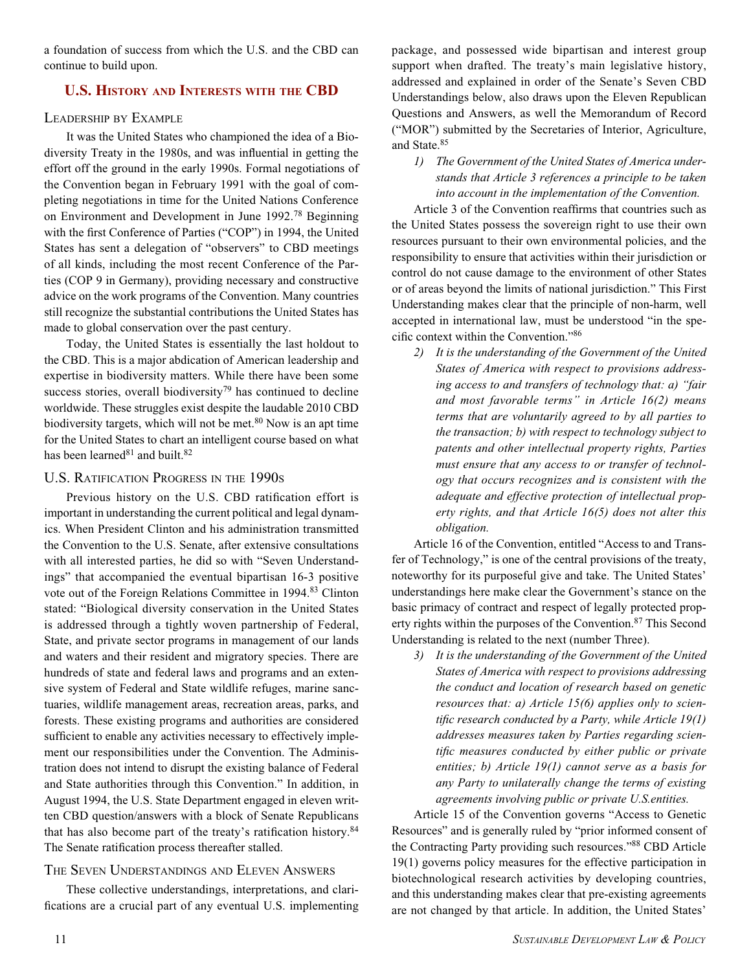a foundation of success from which the U.S. and the CBD can continue to build upon.

## **U.S. HISTORY AND INTERESTS WITH THE CBD**

#### LEADERSHIP BY EXAMPLE

It was the United States who championed the idea of a Biodiversity Treaty in the 1980s, and was influential in getting the effort off the ground in the early 1990s. Formal negotiations of the Convention began in February 1991 with the goal of completing negotiations in time for the United Nations Conference on Environment and Development in June 1992.78 Beginning with the first Conference of Parties ("COP") in 1994, the United States has sent a delegation of "observers" to CBD meetings of all kinds, including the most recent Conference of the Parties (COP 9 in Germany), providing necessary and constructive advice on the work programs of the Convention. Many countries still recognize the substantial contributions the United States has made to global conservation over the past century.

Today, the United States is essentially the last holdout to the CBD. This is a major abdication of American leadership and expertise in biodiversity matters. While there have been some success stories, overall biodiversity<sup>79</sup> has continued to decline worldwide. These struggles exist despite the laudable 2010 CBD biodiversity targets, which will not be met. $80$  Now is an apt time for the United States to chart an intelligent course based on what has been learned<sup>81</sup> and built.<sup>82</sup>

## U.S. RATIFICATION PROGRESS IN THE 1990S

Previous history on the U.S. CBD ratification effort is important in understanding the current political and legal dynamics. When President Clinton and his administration transmitted the Convention to the U.S. Senate, after extensive consultations with all interested parties, he did so with "Seven Understandings" that accompanied the eventual bipartisan 16-3 positive vote out of the Foreign Relations Committee in 1994.<sup>83</sup> Clinton stated: "Biological diversity conservation in the United States is addressed through a tightly woven partnership of Federal, State, and private sector programs in management of our lands and waters and their resident and migratory species. There are hundreds of state and federal laws and programs and an extensive system of Federal and State wildlife refuges, marine sanctuaries, wildlife management areas, recreation areas, parks, and forests. These existing programs and authorities are considered sufficient to enable any activities necessary to effectively implement our responsibilities under the Convention. The Administration does not intend to disrupt the existing balance of Federal and State authorities through this Convention." In addition, in August 1994, the U.S. State Department engaged in eleven written CBD question/answers with a block of Senate Republicans that has also become part of the treaty's ratification history.84 The Senate ratification process thereafter stalled.

## THE SEVEN UNDERSTANDINGS AND ELEVEN ANSWERS

These collective understandings, interpretations, and clarifications are a crucial part of any eventual U.S. implementing package, and possessed wide bipartisan and interest group support when drafted. The treaty's main legislative history, addressed and explained in order of the Senate's Seven CBD Understandings below, also draws upon the Eleven Republican Questions and Answers, as well the Memorandum of Record ("MOR") submitted by the Secretaries of Interior, Agriculture, and State.85

*1) The Government of the United States of America understands that Article 3 references a principle to be taken into account in the implementation of the Convention.*

Article 3 of the Convention reaffirms that countries such as the United States possess the sovereign right to use their own resources pursuant to their own environmental policies, and the responsibility to ensure that activities within their jurisdiction or control do not cause damage to the environment of other States or of areas beyond the limits of national jurisdiction." This First Understanding makes clear that the principle of non-harm, well accepted in international law, must be understood "in the specific context within the Convention."86

*2) It is the understanding of the Government of the United States of America with respect to provisions addressing access to and transfers of technology that: a) "fair and most favorable terms" in Article 16(2) means terms that are voluntarily agreed to by all parties to the transaction; b) with respect to technology subject to patents and other intellectual property rights, Parties must ensure that any access to or transfer of technology that occurs recognizes and is consistent with the adequate and effective protection of intellectual property rights, and that Article 16(5) does not alter this obligation.*

Article 16 of the Convention, entitled "Access to and Transfer of Technology," is one of the central provisions of the treaty, noteworthy for its purposeful give and take. The United States' understandings here make clear the Government's stance on the basic primacy of contract and respect of legally protected property rights within the purposes of the Convention.87 This Second Understanding is related to the next (number Three).

*3) It is the understanding of the Government of the United States of America with respect to provisions addressing the conduct and location of research based on genetic resources that: a) Article 15(6) applies only to scientific research conducted by a Party, while Article 19(1) addresses measures taken by Parties regarding scientific measures conducted by either public or private entities; b) Article 19(1) cannot serve as a basis for any Party to unilaterally change the terms of existing agreements involving public or private U.S.entities.*

Article 15 of the Convention governs "Access to Genetic Resources" and is generally ruled by "prior informed consent of the Contracting Party providing such resources."88 CBD Article 19(1) governs policy measures for the effective participation in biotechnological research activities by developing countries, and this understanding makes clear that pre-existing agreements are not changed by that article. In addition, the United States'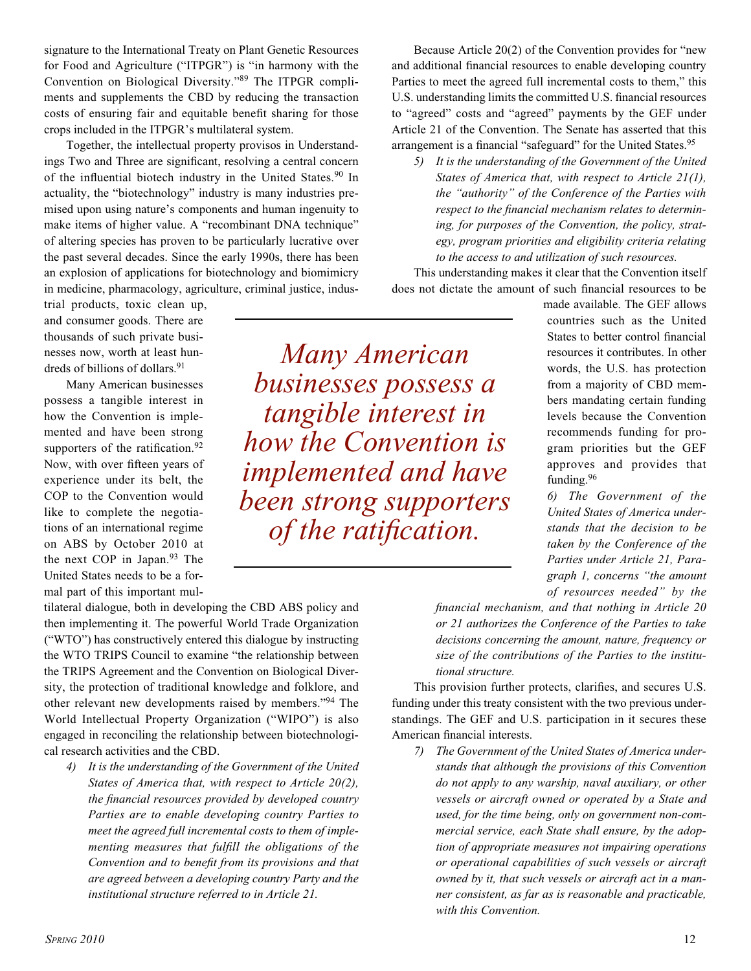signature to the International Treaty on Plant Genetic Resources for Food and Agriculture ("ITPGR") is "in harmony with the Convention on Biological Diversity."89 The ITPGR compliments and supplements the CBD by reducing the transaction costs of ensuring fair and equitable benefit sharing for those crops included in the ITPGR's multilateral system.

Together, the intellectual property provisos in Understandings Two and Three are significant, resolving a central concern of the influential biotech industry in the United States.<sup>90</sup> In actuality, the "biotechnology" industry is many industries premised upon using nature's components and human ingenuity to make items of higher value. A "recombinant DNA technique" of altering species has proven to be particularly lucrative over the past several decades. Since the early 1990s, there has been an explosion of applications for biotechnology and biomimicry in medicine, pharmacology, agriculture, criminal justice, indus-

trial products, toxic clean up, and consumer goods. There are thousands of such private businesses now, worth at least hundreds of billions of dollars.<sup>91</sup>

Many American businesses possess a tangible interest in how the Convention is implemented and have been strong supporters of the ratification.<sup>92</sup> Now, with over fifteen years of experience under its belt, the COP to the Convention would like to complete the negotiations of an international regime on ABS by October 2010 at the next COP in Japan.<sup>93</sup> The United States needs to be a formal part of this important mul-

tilateral dialogue, both in developing the CBD ABS policy and then implementing it. The powerful World Trade Organization ("WTO") has constructively entered this dialogue by instructing the WTO TRIPS Council to examine "the relationship between the TRIPS Agreement and the Convention on Biological Diversity, the protection of traditional knowledge and folklore, and other relevant new developments raised by members."94 The World Intellectual Property Organization ("WIPO") is also engaged in reconciling the relationship between biotechnological research activities and the CBD.

*4) It is the understanding of the Government of the United States of America that, with respect to Article 20(2), the financial resources provided by developed country Parties are to enable developing country Parties to meet the agreed full incremental costs to them of implementing measures that fulfill the obligations of the Convention and to benefit from its provisions and that are agreed between a developing country Party and the institutional structure referred to in Article 21.*

Because Article 20(2) of the Convention provides for "new and additional financial resources to enable developing country Parties to meet the agreed full incremental costs to them," this U.S. understanding limits the committed U.S. financial resources to "agreed" costs and "agreed" payments by the GEF under Article 21 of the Convention. The Senate has asserted that this arrangement is a financial "safeguard" for the United States.<sup>95</sup>

*5) It is the understanding of the Government of the United States of America that, with respect to Article 21(1), the "authority" of the Conference of the Parties with respect to the financial mechanism relates to determining, for purposes of the Convention, the policy, strategy, program priorities and eligibility criteria relating to the access to and utilization of such resources.*

This understanding makes it clear that the Convention itself does not dictate the amount of such financial resources to be

> made available. The GEF allows countries such as the United States to better control financial resources it contributes. In other words, the U.S. has protection from a majority of CBD members mandating certain funding levels because the Convention recommends funding for program priorities but the GEF approves and provides that funding.<sup>96</sup>

*6) The Government of the United States of America understands that the decision to be taken by the Conference of the Parties under Article 21, Paragraph 1, concerns "the amount of resources needed" by the* 

*financial mechanism, and that nothing in Article 20 or 21 authorizes the Conference of the Parties to take decisions concerning the amount, nature, frequency or size of the contributions of the Parties to the institutional structure.*

This provision further protects, clarifies, and secures U.S. funding under this treaty consistent with the two previous understandings. The GEF and U.S. participation in it secures these American financial interests.

*7) The Government of the United States of America understands that although the provisions of this Convention do not apply to any warship, naval auxiliary, or other vessels or aircraft owned or operated by a State and used, for the time being, only on government non-commercial service, each State shall ensure, by the adoption of appropriate measures not impairing operations or operational capabilities of such vessels or aircraft owned by it, that such vessels or aircraft act in a manner consistent, as far as is reasonable and practicable, with this Convention.*

*Many American businesses possess a tangible interest in how the Convention is implemented and have been strong supporters of the ratification.*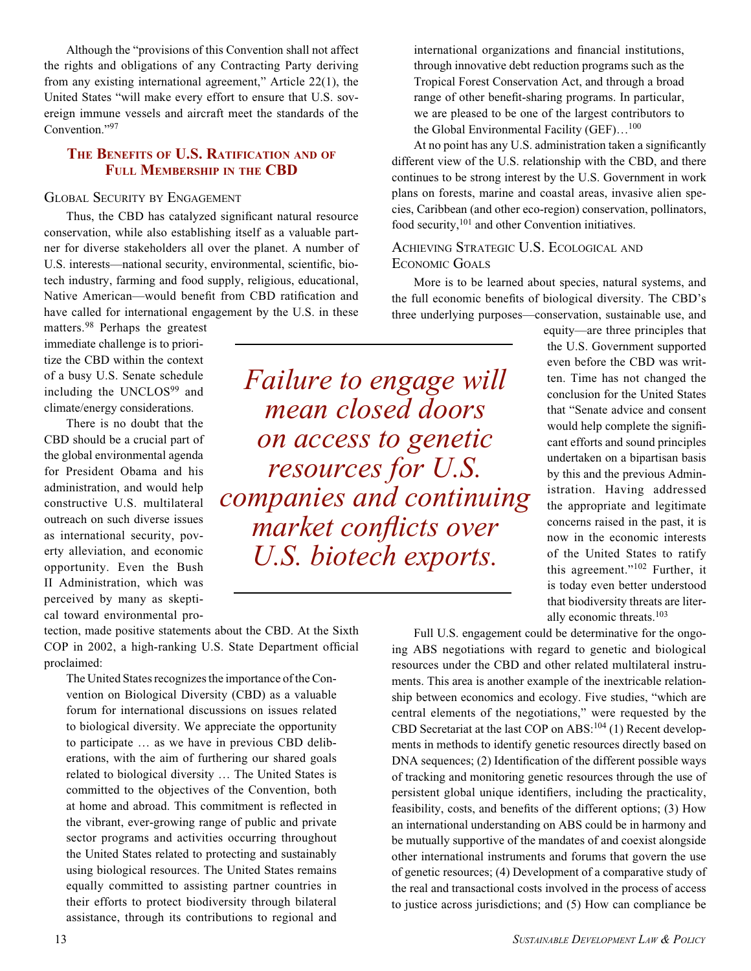Although the "provisions of this Convention shall not affect the rights and obligations of any Contracting Party deriving from any existing international agreement," Article 22(1), the United States "will make every effort to ensure that U.S. sovereign immune vessels and aircraft meet the standards of the Convention."97

## **THE BENEFITS OF U.S. RATIFICATION AND OF FULL MEMBERSHIP IN THE CBD**

#### GLOBAL SECURITY BY ENGAGEMENT

Thus, the CBD has catalyzed significant natural resource conservation, while also establishing itself as a valuable partner for diverse stakeholders all over the planet. A number of U.S. interests—national security, environmental, scientific, biotech industry, farming and food supply, religious, educational, Native American—would benefit from CBD ratification and have called for international engagement by the U.S. in these

matters.98 Perhaps the greatest immediate challenge is to prioritize the CBD within the context of a busy U.S. Senate schedule including the UNCLOS<sup>99</sup> and climate/energy considerations.

There is no doubt that the CBD should be a crucial part of the global environmental agenda for President Obama and his administration, and would help constructive U.S. multilateral outreach on such diverse issues as international security, poverty alleviation, and economic opportunity. Even the Bush II Administration, which was perceived by many as skeptical toward environmental pro-

tection, made positive statements about the CBD. At the Sixth COP in 2002, a high-ranking U.S. State Department official proclaimed:

The United States recognizes the importance of the Convention on Biological Diversity (CBD) as a valuable forum for international discussions on issues related to biological diversity. We appreciate the opportunity to participate … as we have in previous CBD deliberations, with the aim of furthering our shared goals related to biological diversity … The United States is committed to the objectives of the Convention, both at home and abroad. This commitment is reflected in the vibrant, ever-growing range of public and private sector programs and activities occurring throughout the United States related to protecting and sustainably using biological resources. The United States remains equally committed to assisting partner countries in their efforts to protect biodiversity through bilateral assistance, through its contributions to regional and

*Failure to engage will mean closed doors on access to genetic resources for U.S. companies and continuing market conflicts over U.S. biotech exports.*

international organizations and financial institutions, through innovative debt reduction programs such as the Tropical Forest Conservation Act, and through a broad range of other benefit-sharing programs. In particular, we are pleased to be one of the largest contributors to the Global Environmental Facility  $(GEF) \dots^{100}$ 

At no point has any U.S. administration taken a significantly different view of the U.S. relationship with the CBD, and there continues to be strong interest by the U.S. Government in work plans on forests, marine and coastal areas, invasive alien species, Caribbean (and other eco-region) conservation, pollinators, food security,<sup>101</sup> and other Convention initiatives.

## ACHIEVING STRATEGIC U.S. ECOLOGICAL AND ECONOMIC GOALS

More is to be learned about species, natural systems, and the full economic benefits of biological diversity. The CBD's three underlying purposes—conservation, sustainable use, and

equity—are three principles that the U.S. Government supported even before the CBD was written. Time has not changed the conclusion for the United States that "Senate advice and consent would help complete the significant efforts and sound principles undertaken on a bipartisan basis by this and the previous Administration. Having addressed the appropriate and legitimate concerns raised in the past, it is now in the economic interests of the United States to ratify this agreement."102 Further, it is today even better understood that biodiversity threats are literally economic threats.103

Full U.S. engagement could be determinative for the ongoing ABS negotiations with regard to genetic and biological resources under the CBD and other related multilateral instruments. This area is another example of the inextricable relationship between economics and ecology. Five studies, "which are central elements of the negotiations," were requested by the CBD Secretariat at the last COP on  $\text{ABS}$ :<sup>104</sup> (1) Recent developments in methods to identify genetic resources directly based on DNA sequences; (2) Identification of the different possible ways of tracking and monitoring genetic resources through the use of persistent global unique identifiers, including the practicality, feasibility, costs, and benefits of the different options; (3) How an international understanding on ABS could be in harmony and be mutually supportive of the mandates of and coexist alongside other international instruments and forums that govern the use of genetic resources; (4) Development of a comparative study of the real and transactional costs involved in the process of access to justice across jurisdictions; and (5) How can compliance be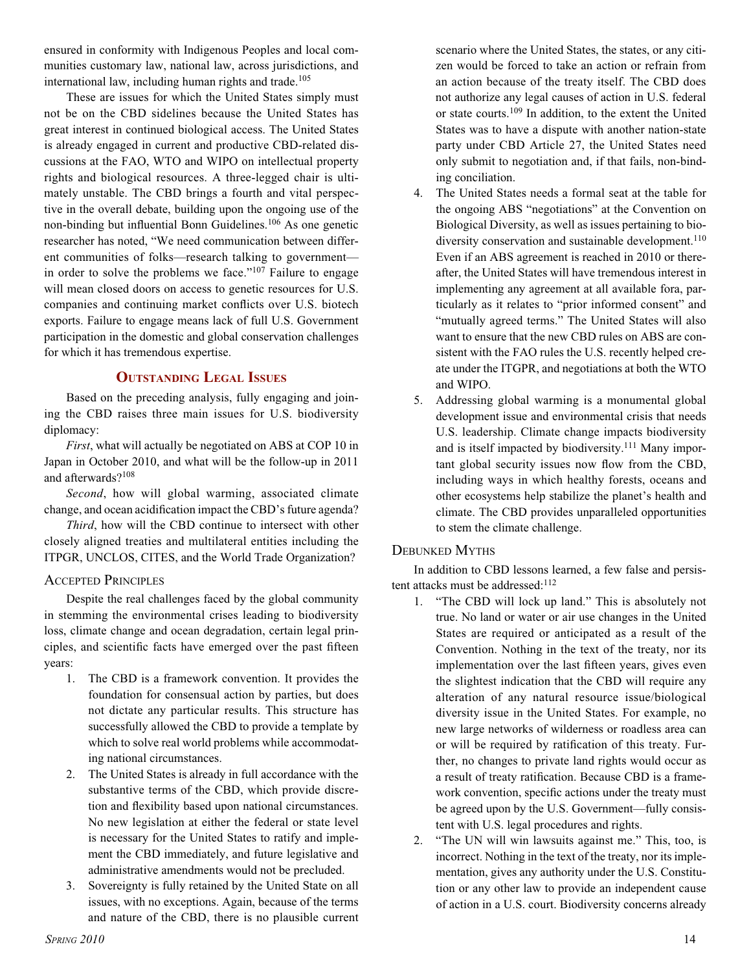ensured in conformity with Indigenous Peoples and local communities customary law, national law, across jurisdictions, and international law, including human rights and trade.<sup>105</sup>

These are issues for which the United States simply must not be on the CBD sidelines because the United States has great interest in continued biological access. The United States is already engaged in current and productive CBD-related discussions at the FAO, WTO and WIPO on intellectual property rights and biological resources. A three-legged chair is ultimately unstable. The CBD brings a fourth and vital perspective in the overall debate, building upon the ongoing use of the non-binding but influential Bonn Guidelines.106 As one genetic researcher has noted, "We need communication between different communities of folks—research talking to government in order to solve the problems we face." $107$  Failure to engage will mean closed doors on access to genetic resources for U.S. companies and continuing market conflicts over U.S. biotech exports. Failure to engage means lack of full U.S. Government participation in the domestic and global conservation challenges for which it has tremendous expertise.

## **OUTSTANDING LEGAL ISSUES**

Based on the preceding analysis, fully engaging and joining the CBD raises three main issues for U.S. biodiversity diplomacy:

*First*, what will actually be negotiated on ABS at COP 10 in Japan in October 2010, and what will be the follow-up in 2011 and afterwards?108

*Second*, how will global warming, associated climate change, and ocean acidification impact the CBD's future agenda?

*Third*, how will the CBD continue to intersect with other closely aligned treaties and multilateral entities including the ITPGR, UNCLOS, CITES, and the World Trade Organization?

## ACCEPTED PRINCIPLES

Despite the real challenges faced by the global community in stemming the environmental crises leading to biodiversity loss, climate change and ocean degradation, certain legal principles, and scientific facts have emerged over the past fifteen years:

- 1. The CBD is a framework convention. It provides the foundation for consensual action by parties, but does not dictate any particular results. This structure has successfully allowed the CBD to provide a template by which to solve real world problems while accommodating national circumstances.
- 2. The United States is already in full accordance with the substantive terms of the CBD, which provide discretion and flexibility based upon national circumstances. No new legislation at either the federal or state level is necessary for the United States to ratify and implement the CBD immediately, and future legislative and administrative amendments would not be precluded.
- 3. Sovereignty is fully retained by the United State on all issues, with no exceptions. Again, because of the terms and nature of the CBD, there is no plausible current

scenario where the United States, the states, or any citizen would be forced to take an action or refrain from an action because of the treaty itself. The CBD does not authorize any legal causes of action in U.S. federal or state courts.109 In addition, to the extent the United States was to have a dispute with another nation-state party under CBD Article 27, the United States need only submit to negotiation and, if that fails, non-binding conciliation.

- 4. The United States needs a formal seat at the table for the ongoing ABS "negotiations" at the Convention on Biological Diversity, as well as issues pertaining to biodiversity conservation and sustainable development.<sup>110</sup> Even if an ABS agreement is reached in 2010 or thereafter, the United States will have tremendous interest in implementing any agreement at all available fora, particularly as it relates to "prior informed consent" and "mutually agreed terms." The United States will also want to ensure that the new CBD rules on ABS are consistent with the FAO rules the U.S. recently helped create under the ITGPR, and negotiations at both the WTO and WIPO.
- 5. Addressing global warming is a monumental global development issue and environmental crisis that needs U.S. leadership. Climate change impacts biodiversity and is itself impacted by biodiversity.<sup>111</sup> Many important global security issues now flow from the CBD, including ways in which healthy forests, oceans and other ecosystems help stabilize the planet's health and climate. The CBD provides unparalleled opportunities to stem the climate challenge.

## DEBUNKED MYTHS

In addition to CBD lessons learned, a few false and persistent attacks must be addressed:<sup>112</sup>

- 1. "The CBD will lock up land." This is absolutely not true. No land or water or air use changes in the United States are required or anticipated as a result of the Convention. Nothing in the text of the treaty, nor its implementation over the last fifteen years, gives even the slightest indication that the CBD will require any alteration of any natural resource issue/biological diversity issue in the United States. For example, no new large networks of wilderness or roadless area can or will be required by ratification of this treaty. Further, no changes to private land rights would occur as a result of treaty ratification. Because CBD is a framework convention, specific actions under the treaty must be agreed upon by the U.S. Government—fully consistent with U.S. legal procedures and rights.
- 2. "The UN will win lawsuits against me." This, too, is incorrect. Nothing in the text of the treaty, nor its implementation, gives any authority under the U.S. Constitution or any other law to provide an independent cause of action in a U.S. court. Biodiversity concerns already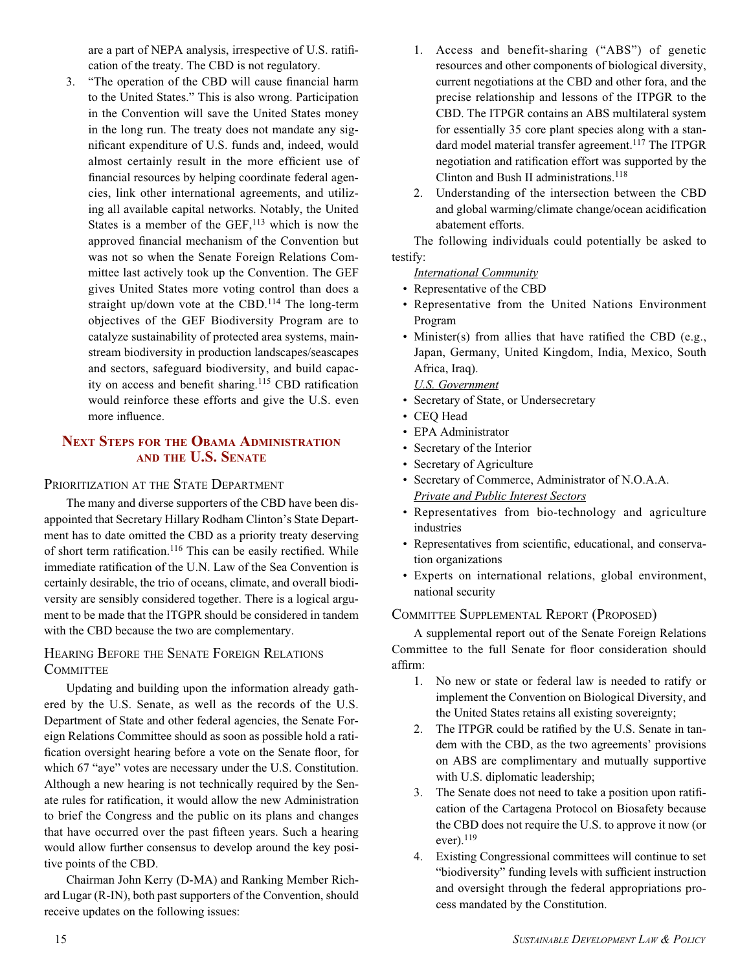are a part of NEPA analysis, irrespective of U.S. ratification of the treaty. The CBD is not regulatory.

3. "The operation of the CBD will cause financial harm to the United States." This is also wrong. Participation in the Convention will save the United States money in the long run. The treaty does not mandate any significant expenditure of U.S. funds and, indeed, would almost certainly result in the more efficient use of financial resources by helping coordinate federal agencies, link other international agreements, and utilizing all available capital networks. Notably, the United States is a member of the  $GEF$ ,<sup>113</sup> which is now the approved financial mechanism of the Convention but was not so when the Senate Foreign Relations Committee last actively took up the Convention. The GEF gives United States more voting control than does a straight up/down vote at the CBD.<sup>114</sup> The long-term objectives of the GEF Biodiversity Program are to catalyze sustainability of protected area systems, mainstream biodiversity in production landscapes/seascapes and sectors, safeguard biodiversity, and build capacity on access and benefit sharing.<sup>115</sup> CBD ratification would reinforce these efforts and give the U.S. even more influence.

## **NEXT STEPS FOR THE OBAMA ADMINISTRATION AND THE U.S. SENATE**

## PRIORITIZATION AT THE STATE DEPARTMENT

The many and diverse supporters of the CBD have been disappointed that Secretary Hillary Rodham Clinton's State Department has to date omitted the CBD as a priority treaty deserving of short term ratification.116 This can be easily rectified. While immediate ratification of the U.N. Law of the Sea Convention is certainly desirable, the trio of oceans, climate, and overall biodiversity are sensibly considered together. There is a logical argument to be made that the ITGPR should be considered in tandem with the CBD because the two are complementary.

## HEARING BEFORE THE SENATE FOREIGN RELATIONS **COMMITTEE**

Updating and building upon the information already gathered by the U.S. Senate, as well as the records of the U.S. Department of State and other federal agencies, the Senate Foreign Relations Committee should as soon as possible hold a ratification oversight hearing before a vote on the Senate floor, for which 67 "aye" votes are necessary under the U.S. Constitution. Although a new hearing is not technically required by the Senate rules for ratification, it would allow the new Administration to brief the Congress and the public on its plans and changes that have occurred over the past fifteen years. Such a hearing would allow further consensus to develop around the key positive points of the CBD.

Chairman John Kerry (D-MA) and Ranking Member Richard Lugar (R-IN), both past supporters of the Convention, should receive updates on the following issues:

- 1. Access and benefit-sharing ("ABS") of genetic resources and other components of biological diversity, current negotiations at the CBD and other fora, and the precise relationship and lessons of the ITPGR to the CBD. The ITPGR contains an ABS multilateral system for essentially 35 core plant species along with a standard model material transfer agreement.<sup>117</sup> The ITPGR negotiation and ratification effort was supported by the Clinton and Bush II administrations.<sup>118</sup>
- 2. Understanding of the intersection between the CBD and global warming/climate change/ocean acidification abatement efforts.

The following individuals could potentially be asked to testify:

*International Community*

- Representative of the CBD
- Representative from the United Nations Environment Program
- Minister(s) from allies that have ratified the CBD (e.g., Japan, Germany, United Kingdom, India, Mexico, South Africa, Iraq).

*U.S. Government* • Secretary of State, or Undersecretary

- CEQ Head
- EPA Administrator
- Secretary of the Interior
- Secretary of Agriculture
- Secretary of Commerce, Administrator of N.O.A.A. *Private and Public Interest Sectors*
- Representatives from bio-technology and agriculture industries
- Representatives from scientific, educational, and conservation organizations
- Experts on international relations, global environment, national security

## COMMITTEE SUPPLEMENTAL REPORT (PROPOSED)

A supplemental report out of the Senate Foreign Relations Committee to the full Senate for floor consideration should affirm:

- 1. No new or state or federal law is needed to ratify or implement the Convention on Biological Diversity, and the United States retains all existing sovereignty;
- 2. The ITPGR could be ratified by the U.S. Senate in tandem with the CBD, as the two agreements' provisions on ABS are complimentary and mutually supportive with U.S. diplomatic leadership;
- 3. The Senate does not need to take a position upon ratification of the Cartagena Protocol on Biosafety because the CBD does not require the U.S. to approve it now (or ever). $119$
- 4. Existing Congressional committees will continue to set "biodiversity" funding levels with sufficient instruction and oversight through the federal appropriations process mandated by the Constitution.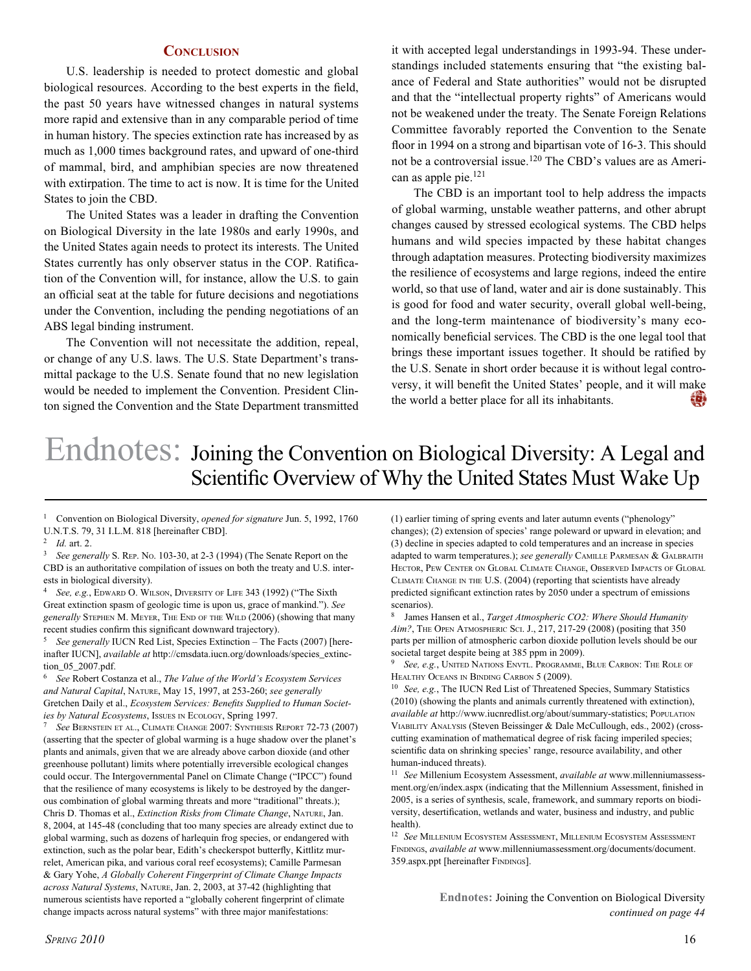#### **CONCLUSION**

U.S. leadership is needed to protect domestic and global biological resources. According to the best experts in the field, the past 50 years have witnessed changes in natural systems more rapid and extensive than in any comparable period of time in human history. The species extinction rate has increased by as much as 1,000 times background rates, and upward of one-third of mammal, bird, and amphibian species are now threatened with extirpation. The time to act is now. It is time for the United States to join the CBD.

The United States was a leader in drafting the Convention on Biological Diversity in the late 1980s and early 1990s, and the United States again needs to protect its interests. The United States currently has only observer status in the COP. Ratification of the Convention will, for instance, allow the U.S. to gain an official seat at the table for future decisions and negotiations under the Convention, including the pending negotiations of an ABS legal binding instrument.

The Convention will not necessitate the addition, repeal, or change of any U.S. laws. The U.S. State Department's transmittal package to the U.S. Senate found that no new legislation would be needed to implement the Convention. President Clinton signed the Convention and the State Department transmitted

it with accepted legal understandings in 1993-94. These understandings included statements ensuring that "the existing balance of Federal and State authorities" would not be disrupted and that the "intellectual property rights" of Americans would not be weakened under the treaty. The Senate Foreign Relations Committee favorably reported the Convention to the Senate floor in 1994 on a strong and bipartisan vote of 16-3. This should not be a controversial issue.120 The CBD's values are as American as apple pie.<sup>121</sup>

The CBD is an important tool to help address the impacts of global warming, unstable weather patterns, and other abrupt changes caused by stressed ecological systems. The CBD helps humans and wild species impacted by these habitat changes through adaptation measures. Protecting biodiversity maximizes the resilience of ecosystems and large regions, indeed the entire world, so that use of land, water and air is done sustainably. This is good for food and water security, overall global well-being, and the long-term maintenance of biodiversity's many economically beneficial services. The CBD is the one legal tool that brings these important issues together. It should be ratified by the U.S. Senate in short order because it is without legal controversy, it will benefit the United States' people, and it will make the world a better place for all its inhabitants. 輿

# Endnotes: Joining the Convention on Biological Diversity: <sup>A</sup> Legal and Scientific Overview of Why the United States Must Wake Up

1 Convention on Biological Diversity, *opened for signature* Jun. 5, 1992, 1760 U.N.T.S. 79, 31 I.L.M. 818 [hereinafter CBD].

<sup>3</sup>*See generally* S. REP. NO. 103-30, at 2-3 (1994) (The Senate Report on the CBD is an authoritative compilation of issues on both the treaty and U.S. interests in biological diversity).

<sup>4</sup>*See, e.g.*, EDWARD O. WILSON, DIVERSITY OF LIFE 343 (1992) ("The Sixth Great extinction spasm of geologic time is upon us, grace of mankind."). *See generally* STEPHEN M. MEYER, THE END OF THE WILD (2006) (showing that many recent studies confirm this significant downward trajectory).

<sup>5</sup>*See generally* IUCN Red List, Species Extinction – The Facts (2007) [hereinafter IUCN], *available at* http://cmsdata.iucn.org/downloads/species\_extinction\_05\_2007.pdf.

<sup>6</sup>*See* Robert Costanza et al., *The Value of the World's Ecosystem Services and Natural Capital*, NATURE, May 15, 1997, at 253-260; *see generally*  Gretchen Daily et al., *Ecosystem Services: Benefits Supplied to Human Societies by Natural Ecosystems*, Issues IN ECOLOGY, Spring 1997.

<sup>7</sup>*See* BERNSTEIN ET AL., CLIMATE CHANGE 2007: SYNTHESIS REPORT 72-73 (2007) (asserting that the specter of global warming is a huge shadow over the planet's plants and animals, given that we are already above carbon dioxide (and other greenhouse pollutant) limits where potentially irreversible ecological changes could occur. The Intergovernmental Panel on Climate Change ("IPCC") found that the resilience of many ecosystems is likely to be destroyed by the dangerous combination of global warming threats and more "traditional" threats.); Chris D. Thomas et al., *Extinction Risks from Climate Change*, NATURE, Jan. 8, 2004, at 145-48 (concluding that too many species are already extinct due to global warming, such as dozens of harlequin frog species, or endangered with extinction, such as the polar bear, Edith's checkerspot butterfly, Kittlitz murrelet, American pika, and various coral reef ecosystems); Camille Parmesan & Gary Yohe, *A Globally Coherent Fingerprint of Climate Change Impacts across Natural Systems*, NATURE, Jan. 2, 2003, at 37-42 (highlighting that numerous scientists have reported a "globally coherent fingerprint of climate change impacts across natural systems" with three major manifestations:

(1) earlier timing of spring events and later autumn events ("phenology" changes); (2) extension of species' range poleward or upward in elevation; and (3) decline in species adapted to cold temperatures and an increase in species adapted to warm temperatures.); *see generally* CAMILLE PARMESAN & GALBRAITH HECTOR, PEW CENTER ON GLOBAL CLIMATE CHANGE, OBSERVED IMPACTS OF GLOBAL CLIMATE CHANGE IN THE U.S. (2004) (reporting that scientists have already predicted significant extinction rates by 2050 under a spectrum of emissions scenarios).

8 James Hansen et al., *Target Atmospheric CO2: Where Should Humanity Aim?*, THE OPEN ATMOSPHERIC SCI. J., 217, 217-29 (2008) (positing that 350 parts per million of atmospheric carbon dioxide pollution levels should be our societal target despite being at 385 ppm in 2009).

<sup>9</sup>*See, e.g.*, UNITED NATIONS ENVTL. PROGRAMME, BLUE CARBON: THE ROLE OF HEALTHY OCEANS IN BINDING CARBON 5 (2009).

<sup>10</sup> See, e.g., The IUCN Red List of Threatened Species, Summary Statistics (2010) (showing the plants and animals currently threatened with extinction), *available at* http://www.iucnredlist.org/about/summary-statistics; POPULATION VIABILITY ANALYSIS (Steven Beissinger & Dale McCullough, eds., 2002) (crosscutting examination of mathematical degree of risk facing imperiled species; scientific data on shrinking species' range, resource availability, and other human-induced threats).

<sup>11</sup>*See* Millenium Ecosystem Assessment, *available at* www.millenniumassessment.org/en/index.aspx (indicating that the Millennium Assessment, finished in 2005, is a series of synthesis, scale, framework, and summary reports on biodiversity, desertification, wetlands and water, business and industry, and public health).

<sup>12</sup>*See* MILLENIUM ECOSYSTEM ASSESSMENT, MILLENIUM ECOSYSTEM ASSESSMENT FINDINGS, *available at* www.millenniumassessment.org/documents/document. 359.aspx.ppt [hereinafter FINDINGS].

> **Endnotes:** Joining the Convention on Biological Diversity *continued on page 44*

<sup>2</sup>*Id.* art. 2.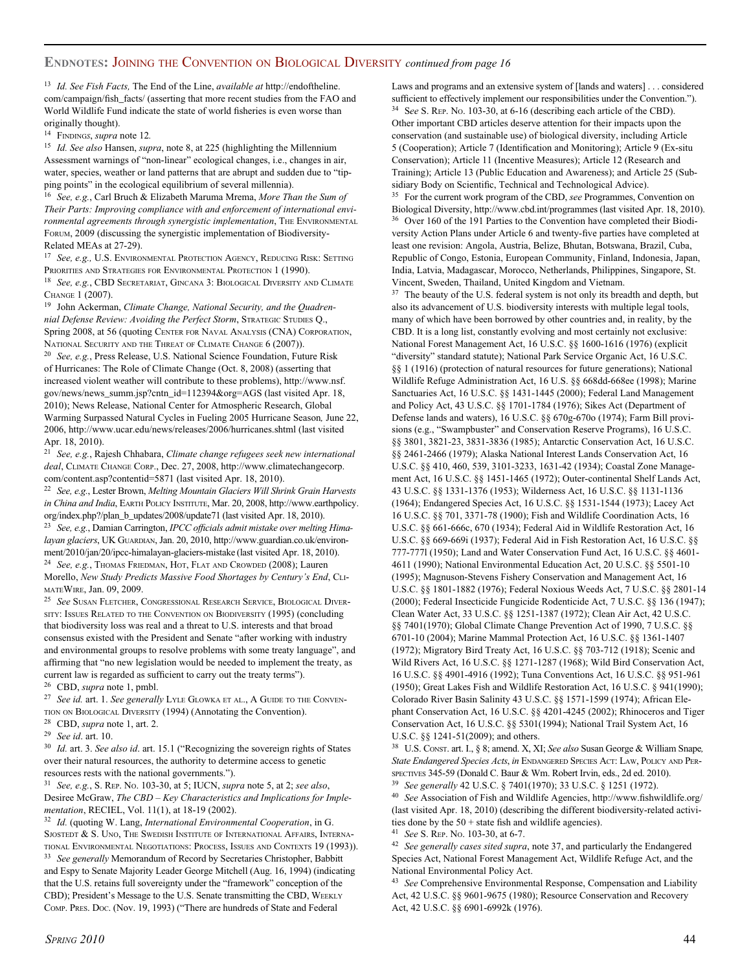#### **ENDNOTES:** JOINING THE CONVENTION ON BIOLOGICAL DIVERSITY *continued from page 16*

<sup>13</sup>*Id. See Fish Facts,* The End of the Line, *available at* http://endoftheline. com/campaign/fish\_facts/ (asserting that more recent studies from the FAO and World Wildlife Fund indicate the state of world fisheries is even worse than originally thought).

<sup>14</sup>FINDING*S*, *supra* note 12*.*

<sup>15</sup>*Id. See also* Hansen, *supra*, note 8, at 225 (highlighting the Millennium Assessment warnings of "non-linear" ecological changes, i.e., changes in air, water, species, weather or land patterns that are abrupt and sudden due to "tipping points" in the ecological equilibrium of several millennia).

<sup>16</sup>*See, e.g.*, Carl Bruch & Elizabeth Maruma Mrema, *More Than the Sum of Their Parts: Improving compliance with and enforcement of international environmental agreements through synergistic implementation*, THE ENVIRONMENTAL FORUM, 2009 (discussing the synergistic implementation of Biodiversity-Related MEAs at 27-29).

<sup>17</sup>*See, e.g.,* U.S. ENVIRONMENTAL PROTECTION AGENCY, REDUCING RISK: SETTING PRIORITIES AND STRATEGIES FOR ENVIRONMENTAL PROTECTION 1 (1990).

<sup>18</sup>*See, e.g.*, CBD SECRETARIAT, GINCANA 3: BIOLOGICAL DIVERSITY AND CLIMATE CHANGE 1 (2007).

19 John Ackerman, *Climate Change, National Security, and the Quadrennial Defense Review: Avoiding the Perfect Storm*, STRATEGIC STUDIES Q., Spring 2008, at 56 (quoting CENTER FOR NAVAL ANALYSIS (CNA) CORPORATION, NATIONAL SECURITY AND THE THREAT OF CLIMATE CHANGE 6 (2007)).

<sup>20</sup>*See, e.g.*, Press Release, U.S. National Science Foundation, Future Risk of Hurricanes: The Role of Climate Change (Oct. 8, 2008) (asserting that increased violent weather will contribute to these problems), http://www.nsf. gov/news/news\_summ.jsp?cntn\_id=112394&org=AGS (last visited Apr. 18, 2010); News Release, National Center for Atmospheric Research, Global Warming Surpassed Natural Cycles in Fueling 2005 Hurricane Season*,* June 22, 2006, http://www.ucar.edu/news/releases/2006/hurricanes.shtml (last visited Apr. 18, 2010).

<sup>21</sup>*See, e.g.*, Rajesh Chhabara, *Climate change refugees seek new international deal*, CLIMATE CHANGE CORP., Dec. 27, 2008, http://www.climatechangecorp. com/content.asp?contentid=5871 (last visited Apr. 18, 2010).

<sup>22</sup>*See, e.g.*, Lester Brown, *Melting Mountain Glaciers Will Shrink Grain Harvests in China and India*, EARTH POLICY INSTITUTE, Mar. 20, 2008, http://www.earthpolicy. org/index.php?/plan\_b\_updates/2008/update71 (last visited Apr. 18, 2010). <sup>23</sup>*See, e.g.*, Damian Carrington, *IPCC officials admit mistake over melting Himalayan glaciers*, UK GUARDIAN, Jan. 20, 2010, http://www.guardian.co.uk/environment/2010/jan/20/ipcc-himalayan-glaciers-mistake (last visited Apr. 18, 2010). <sup>24</sup>*See, e.g.*, THOMAS FRIEDMAN, HOT, FLAT AND CROWDED (2008); Lauren Morello, *New Study Predicts Massive Food Shortages by Century's End*, CLI-MATEWIRE, Jan. 09, 2009.

<sup>25</sup>*See* SUSAN FLETCHER, CONGRESSIONAL RESEARCH SERVICE, BIOLOGICAL DIVER-SITY: ISSUES RELATED TO THE CONVENTION ON BIODIVERSITY (1995) (concluding that biodiversity loss was real and a threat to U.S. interests and that broad consensus existed with the President and Senate "after working with industry and environmental groups to resolve problems with some treaty language", and affirming that "no new legislation would be needed to implement the treaty, as current law is regarded as sufficient to carry out the treaty terms"). 26 CBD, *supra* note 1, pmbl.

<sup>27</sup>*See id.* art. 1. *See generally* LYLE GLOWKA ET AL., A GUIDE TO THE CONVEN-TION ON BIOLOGICAL DIVERSITY (1994) (Annotating the Convention). 28 CBD, *supra* note 1, art. 2.

<sup>29</sup>*See id*. art. 10.

<sup>30</sup>*Id.* art. 3. *See also id*. art. 15.1 ("Recognizing the sovereign rights of States over their natural resources, the authority to determine access to genetic resources rests with the national governments.").

<sup>31</sup>*See, e.g.*, S. REP. NO. 103-30, at 5; IUCN, *supra* note 5, at 2; *see also*, Desiree McGraw, *The CBD – Key Characteristics and Implications for Implementation*, RECIEL, Vol. 11(1), at 18-19 (2002).

<sup>32</sup>*Id.* (quoting W. Lang, *International Environmental Cooperation*, in G. SJOSTEDT & S. UNO, THE SWEDISH INSTITUTE OF INTERNATIONAL AFFAIRS, INTERNA-TIONAL ENVIRONMENTAL NEGOTIATIONS: PROCESS, ISSUES AND CONTEXTS 19 (1993)).

<sup>33</sup>*See generally* Memorandum of Record by Secretaries Christopher, Babbitt and Espy to Senate Majority Leader George Mitchell (Aug. 16, 1994) (indicating that the U.S. retains full sovereignty under the "framework" conception of the CBD); President's Message to the U.S. Senate transmitting the CBD, WEEKLY COMP. PRES. DOC. (Nov. 19, 1993) ("There are hundreds of State and Federal

Laws and programs and an extensive system of [lands and waters] . . . considered sufficient to effectively implement our responsibilities under the Convention."). 34 S*ee* S. REP. NO. 103-30, at 6-16 (describing each article of the CBD). Other important CBD articles deserve attention for their impacts upon the conservation (and sustainable use) of biological diversity, including Article 5 (Cooperation); Article 7 (Identification and Monitoring); Article 9 (Ex-situ Conservation); Article 11 (Incentive Measures); Article 12 (Research and Training); Article 13 (Public Education and Awareness); and Article 25 (Subsidiary Body on Scientific, Technical and Technological Advice).

35 For the current work program of the CBD, *see* Programmes, Convention on Biological Diversity, http://www.cbd.int/programmes (last visited Apr. 18, 2010). 36 Over 160 of the 191 Parties to the Convention have completed their Biodiversity Action Plans under Article 6 and twenty-five parties have completed at least one revision: Angola, Austria, Belize, Bhutan, Botswana, Brazil, Cuba, Republic of Congo, Estonia, European Community, Finland, Indonesia, Japan, India, Latvia, Madagascar, Morocco, Netherlands, Philippines, Singapore, St. Vincent, Sweden, Thailand, United Kingdom and Vietnam.

 $37$  The beauty of the U.S. federal system is not only its breadth and depth, but also its advancement of U.S. biodiversity interests with multiple legal tools, many of which have been borrowed by other countries and, in reality, by the CBD. It is a long list, constantly evolving and most certainly not exclusive: National Forest Management Act, 16 U.S.C. §§ 1600-1616 (1976) (explicit "diversity" standard statute); National Park Service Organic Act, 16 U.S.C. §§ 1 (1916) (protection of natural resources for future generations); National Wildlife Refuge Administration Act, 16 U.S. §§ 668dd-668ee (1998); Marine Sanctuaries Act, 16 U.S.C. §§ 1431-1445 (2000); Federal Land Management and Policy Act, 43 U.S.C. §§ 1701-1784 (1976); Sikes Act (Department of Defense lands and waters), 16 U.S.C. §§ 670g-670o (1974); Farm Bill provisions (e.g., "Swampbuster" and Conservation Reserve Programs), 16 U.S.C. §§ 3801, 3821-23, 3831-3836 (1985); Antarctic Conservation Act, 16 U.S.C. §§ 2461-2466 (1979); Alaska National Interest Lands Conservation Act, 16 U.S.C. §§ 410, 460, 539, 3101-3233, 1631-42 (1934); Coastal Zone Management Act, 16 U.S.C. §§ 1451-1465 (1972); Outer-continental Shelf Lands Act, 43 U.S.C. §§ 1331-1376 (1953); Wilderness Act, 16 U.S.C. §§ 1131-1136 (1964); Endangered Species Act, 16 U.S.C. §§ 1531-1544 (1973); Lacey Act 16 U.S.C. §§ 701, 3371-78 (1900); Fish and Wildlife Coordination Acts, 16 U.S.C. §§ 661-666c, 670 (1934); Federal Aid in Wildlife Restoration Act, 16 U.S.C. §§ 669-669i (1937); Federal Aid in Fish Restoration Act, 16 U.S.C. §§ 777-777l (1950); Land and Water Conservation Fund Act, 16 U.S.C. §§ 4601- 4611 (1990); National Environmental Education Act, 20 U.S.C. §§ 5501-10 (1995); Magnuson-Stevens Fishery Conservation and Management Act, 16 U.S.C. §§ 1801-1882 (1976); Federal Noxious Weeds Act, 7 U.S.C. §§ 2801-14 (2000); Federal Insecticide Fungicide Rodenticide Act, 7 U.S.C. §§ 136 (1947); Clean Water Act, 33 U.S.C. §§ 1251-1387 (1972); Clean Air Act, 42 U.S.C. §§ 7401(1970); Global Climate Change Prevention Act of 1990, 7 U.S.C. §§ 6701-10 (2004); Marine Mammal Protection Act, 16 U.S.C. §§ 1361-1407 (1972); Migratory Bird Treaty Act, 16 U.S.C. §§ 703-712 (1918); Scenic and Wild Rivers Act, 16 U.S.C. §§ 1271-1287 (1968); Wild Bird Conservation Act, 16 U.S.C. §§ 4901-4916 (1992); Tuna Conventions Act, 16 U.S.C. §§ 951-961 (1950); Great Lakes Fish and Wildlife Restoration Act, 16 U.S.C. § 941(1990); Colorado River Basin Salinity 43 U.S.C. §§ 1571-1599 (1974); African Elephant Conservation Act, 16 U.S.C. §§ 4201-4245 (2002); Rhinoceros and Tiger Conservation Act, 16 U.S.C. §§ 5301(1994); National Trail System Act, 16 U.S.C. §§ 1241-51(2009); and others.

<sup>38</sup>U.S. CONST. art. I., § 8; amend. X, XI; *See also* Susan George & William Snape*, State Endangered Species Acts*, *in* ENDANGERED SPECIES ACT: LAW, POLICY AND PER-SPECTIVES 345-59 (Donald C. Baur & Wm. Robert Irvin, eds., 2d ed. 2010). <sup>39</sup>*See generally* 42 U.S.C. § 7401(1970); 33 U.S.C. § 1251 (1972).

<sup>40</sup>*See* Association of Fish and Wildlife Agencies, http://www.fishwildlife.org/ (last visited Apr. 18, 2010) (describing the different biodiversity-related activities done by the  $50 +$  state fish and wildlife agencies).

<sup>41</sup>*See* S. REP. NO. 103-30, at 6-7.

<sup>42</sup>*See generally cases sited supra*, note 37, and particularly the Endangered Species Act, National Forest Management Act, Wildlife Refuge Act, and the National Environmental Policy Act.

<sup>43</sup>*See* Comprehensive Environmental Response, Compensation and Liability Act, 42 U.S.C. §§ 9601-9675 (1980); Resource Conservation and Recovery Act, 42 U.S.C. §§ 6901-6992k (1976).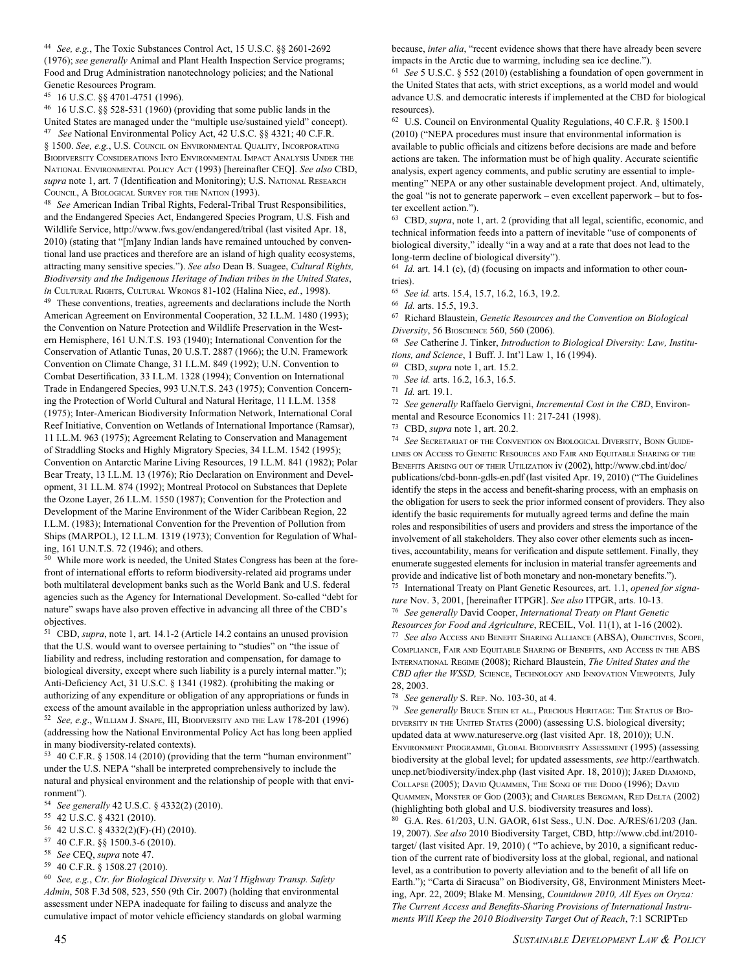<sup>44</sup>*See, e.g.*, The Toxic Substances Control Act, 15 U.S.C. §§ 2601-2692 (1976); *see generally* Animal and Plant Health Inspection Service programs; Food and Drug Administration nanotechnology policies; and the National Genetic Resources Program.

45 16 U.S.C. §§ 4701-4751 (1996).

46 16 U.S.C. §§ 528-531 (1960) (providing that some public lands in the United States are managed under the "multiple use/sustained yield" concept). 47 *See* National Environmental Policy Act, 42 U.S.C. §§ 4321; 40 C.F.R. § 1500. *See, e.g.*, U.S. COUNCIL ON ENVIRONMENTAL QUALITY, INCORPORATING BIODIVERSITY CONSIDERATIONS INTO ENVIRONMENTAL IMPACT ANALYSIS UNDER THE NATIONAL ENVIRONMENTAL POLICY ACT (1993) [hereinafter CEQ]. *See also* CBD, *supra* note 1, art. 7 (Identification and Monitoring); U.S. NATIONAL RESEARCH COUNCIL, A BIOLOGICAL SURVEY FOR THE NATION (1993).

<sup>48</sup>*See* American Indian Tribal Rights, Federal-Tribal Trust Responsibilities, and the Endangered Species Act, Endangered Species Program, U.S. Fish and Wildlife Service, http://www.fws.gov/endangered/tribal (last visited Apr. 18, 2010) (stating that "[m]any Indian lands have remained untouched by conventional land use practices and therefore are an island of high quality ecosystems, attracting many sensitive species."). *See also* Dean B. Suagee, *Cultural Rights, Biodiversity and the Indigenous Heritage of Indian tribes in the United States*, *in* CULTURAL RIGHTS, CULTURAL WRONGS 81-102 (Halina Niec, *ed.*, 1998).

49 These conventions, treaties, agreements and declarations include the North American Agreement on Environmental Cooperation, 32 I.L.M. 1480 (1993); the Convention on Nature Protection and Wildlife Preservation in the Western Hemisphere, 161 U.N.T.S. 193 (1940); International Convention for the Conservation of Atlantic Tunas, 20 U.S.T. 2887 (1966); the U.N. Framework Convention on Climate Change, 31 I.L.M. 849 (1992); U.N. Convention to Combat Desertification, 33 I.L.M. 1328 (1994); Convention on International Trade in Endangered Species, 993 U.N.T.S. 243 (1975); Convention Concerning the Protection of World Cultural and Natural Heritage, 11 I.L.M. 1358 (1975); Inter-American Biodiversity Information Network, International Coral Reef Initiative, Convention on Wetlands of International Importance (Ramsar), 11 I.L.M. 963 (1975); Agreement Relating to Conservation and Management of Straddling Stocks and Highly Migratory Species, 34 I.L.M. 1542 (1995); Convention on Antarctic Marine Living Resources, 19 I.L.M. 841 (1982); Polar Bear Treaty, 13 I.L.M. 13 (1976); Rio Declaration on Environment and Development, 31 I.L.M. 874 (1992); Montreal Protocol on Substances that Deplete the Ozone Layer, 26 I.L.M. 1550 (1987); Convention for the Protection and Development of the Marine Environment of the Wider Caribbean Region, 22 I.L.M. (1983); International Convention for the Prevention of Pollution from Ships (MARPOL), 12 I.L.M. 1319 (1973); Convention for Regulation of Whaling, 161 U.N.T.S. 72 (1946); and others.

50 While more work is needed, the United States Congress has been at the forefront of international efforts to reform biodiversity-related aid programs under both multilateral development banks such as the World Bank and U.S. federal agencies such as the Agency for International Development. So-called "debt for nature" swaps have also proven effective in advancing all three of the CBD's objectives.

51 CBD, *supra*, note 1, art. 14.1-2 (Article 14.2 contains an unused provision that the U.S. would want to oversee pertaining to "studies" on "the issue of liability and redress, including restoration and compensation, for damage to biological diversity, except where such liability is a purely internal matter."); Anti-Deficiency Act, 31 U.S.C. § 1341 (1982). (prohibiting the making or authorizing of any expenditure or obligation of any appropriations or funds in excess of the amount available in the appropriation unless authorized by law). <sup>52</sup>*See, e.g*., WILLIAM J. SNAPE, III, BIODIVERSITY AND THE LAW 178-201 (1996) (addressing how the National Environmental Policy Act has long been applied in many biodiversity-related contexts).

53 40 C.F.R. § 1508.14 (2010) (providing that the term "human environment" under the U.S. NEPA "shall be interpreted comprehensively to include the natural and physical environment and the relationship of people with that environment").

- <sup>54</sup>*See generally* 42 U.S.C. § 4332(2) (2010).
- 55 42 U.S.C. § 4321 (2010).
- 56 42 U.S.C. § 4332(2)(F)-(H) (2010).
- 57 40 C.F.R. §§ 1500.3-6 (2010).
- <sup>58</sup>*See* CEQ, *supra* note 47.
- 59 40 C.F.R. § 1508.27 (2010).

<sup>60</sup>*See, e.g.*, *Ctr. for Biological Diversity v. Nat'l Highway Transp. Safety Admin*, 508 F.3d 508, 523, 550 (9th Cir. 2007) (holding that environmental assessment under NEPA inadequate for failing to discuss and analyze the cumulative impact of motor vehicle efficiency standards on global warming because, *inter alia*, "recent evidence shows that there have already been severe impacts in the Arctic due to warming, including sea ice decline.").

<sup>61</sup>*See* 5 U.S.C. § 552 (2010) (establishing a foundation of open government in the United States that acts, with strict exceptions, as a world model and would advance U.S. and democratic interests if implemented at the CBD for biological resources).

62 U.S. Council on Environmental Quality Regulations, 40 C.F.R. § 1500.1 (2010) ("NEPA procedures must insure that environmental information is available to public officials and citizens before decisions are made and before actions are taken. The information must be of high quality. Accurate scientific analysis, expert agency comments, and public scrutiny are essential to implementing" NEPA or any other sustainable development project. And, ultimately, the goal "is not to generate paperwork – even excellent paperwork – but to foster excellent action.").

63 CBD, *supra*, note 1, art. 2 (providing that all legal, scientific, economic, and technical information feeds into a pattern of inevitable "use of components of biological diversity," ideally "in a way and at a rate that does not lead to the long-term decline of biological diversity").

<sup>64</sup>*Id.* art. 14.1 (c), (d) (focusing on impacts and information to other countries).

<sup>65</sup>*See id.* arts. 15.4, 15.7, 16.2, 16.3, 19.2.

67 Richard Blaustein, *Genetic Resources and the Convention on Biological Diversity*, 56 BIOSCIENCE 560, 560 (2006).

<sup>68</sup>*See* Catherine J. Tinker, *Introduction to Biological Diversity: Law, Institutions, and Science*, 1 Buff. J. Int'l Law 1, 16 (1994).

69 CBD, *supra* note 1, art. 15.2.

<sup>70</sup>*See id.* arts. 16.2, 16.3, 16.5.

<sup>72</sup>*See generally* Raffaelo Gervigni, *Incremental Cost in the CBD*, Environmental and Resource Economics 11: 217-241 (1998).

73 CBD, *supra* note 1, art. 20.2.

<sup>74</sup>*See* SECRETARIAT OF THE CONVENTION ON BIOLOGICAL DIVERSITY, BONN GUIDE-LINES ON ACCESS TO GENETIC RESOURCES AND FAIR AND EQUITABLE SHARING OF THE BENEFITS ARISING OUT OF THEIR UTILIZATION iv (2002), http://www.cbd.int/doc/ publications/cbd-bonn-gdls-en.pdf (last visited Apr. 19, 2010) ("The Guidelines identify the steps in the access and benefit-sharing process, with an emphasis on the obligation for users to seek the prior informed consent of providers. They also identify the basic requirements for mutually agreed terms and define the main roles and responsibilities of users and providers and stress the importance of the involvement of all stakeholders. They also cover other elements such as incentives, accountability, means for verification and dispute settlement. Finally, they enumerate suggested elements for inclusion in material transfer agreements and provide and indicative list of both monetary and non-monetary benefits.").

75 International Treaty on Plant Genetic Resources, art. 1.1, *opened for signature* Nov. 3, 2001, [hereinafter ITPGR]. *See also* ITPGR, arts. 10-13.

<sup>76</sup>*See generally* David Cooper, *International Treaty on Plant Genetic Resources for Food and Agriculture*, RECEIL, Vol. 11(1), at 1-16 (2002). <sup>77</sup>*See also* ACCESS AND BENEFIT SHARING ALLIANCE (ABSA), OBJECTIVES, SCOPE, COMPLIANCE, FAIR AND EQUITABLE SHARING OF BENEFITS, AND ACCESS IN THE ABS INTERNATIONAL REGIME (2008); Richard Blaustein, *The United States and the CBD after the WSSD,* SCIENCE, TECHNOLOGY AND INNOVATION VIEWPOINTS*,* July

28, 2003.

<sup>78</sup>*See generally* S. REP. NO. 103-30, at 4.

<sup>79</sup>*See generally* BRUCE STEIN ET AL., PRECIOUS HERITAGE: THE STATUS OF BIO-DIVERSITY IN THE UNITED STATES (2000) (assessing U.S. biological diversity; updated data at www.natureserve.org (last visited Apr. 18, 2010)); U.N. ENVIRONMENT PROGRAMME, GLOBAL BIODIVERSITY ASSESSMENT (1995) (assessing biodiversity at the global level; for updated assessments, *see* http://earthwatch. unep.net/biodiversity/index.php (last visited Apr. 18, 2010)); JARED DIAMOND, COLLAPSE (2005); DAVID QUAMMEN, THE SONG OF THE DODO (1996); DAVID QUAMMEN, MONSTER OF GOD (2003); and CHARLES BERGMAN, RED DELTA (2002) (highlighting both global and U.S. biodiversity treasures and loss). 80 G.A. Res. 61/203, U.N. GAOR, 61st Sess., U.N. Doc. A/RES/61/203 (Jan. 19, 2007). *See also* 2010 Biodiversity Target, CBD, http://www.cbd.int/2010 target/ (last visited Apr. 19, 2010) ( "To achieve, by 2010, a significant reduction of the current rate of biodiversity loss at the global, regional, and national level, as a contribution to poverty alleviation and to the benefit of all life on Earth."); "Carta di Siracusa" on Biodiversity, G8, Environment Ministers Meeting, Apr. 22, 2009; Blake M. Mensing, *Countdown 2010, All Eyes on Oryza: The Current Access and Benefits-Sharing Provisions of International Instruments Will Keep the 2010 Biodiversity Target Out of Reach*, 7:1 SCRIPTED

<sup>66</sup>*Id.* arts. 15.5, 19.3.

<sup>71</sup>*Id.* art. 19.1.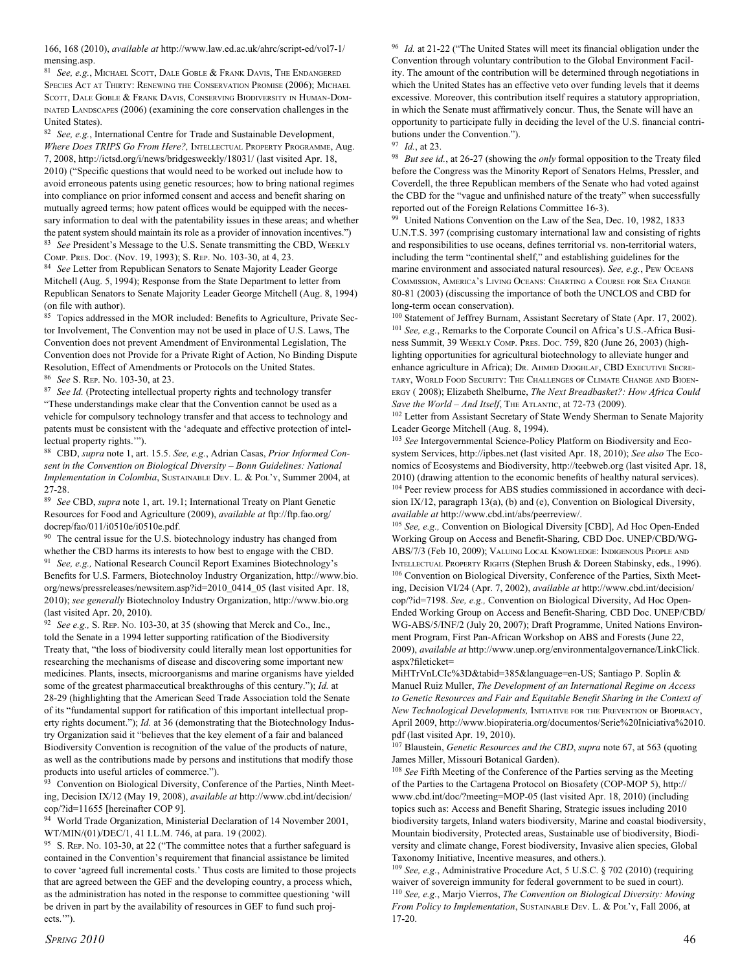166, 168 (2010), *available at* http://www.law.ed.ac.uk/ahrc/script-ed/vol7-1/ mensing.asp.

<sup>81</sup>*See, e.g.*, MICHAEL SCOTT, DALE GOBLE & FRANK DAVIS, THE ENDANGERED SPECIES ACT AT THIRTY: RENEWING THE CONSERVATION PROMISE (2006); MICHAEL SCOTT, DALE GOBLE & FRANK DAVIS, CONSERVING BIODIVERSITY IN HUMAN-DOM-INATED LANDSCAPES (2006) (examining the core conservation challenges in the United States).

<sup>82</sup>*See, e.g.*, International Centre for Trade and Sustainable Development, *Where Does TRIPS Go From Here?,* INTELLECTUAL PROPERTY PROGRAMME, Aug. 7, 2008, http://ictsd.org/i/news/bridgesweekly/18031/ (last visited Apr. 18, 2010) ("Specific questions that would need to be worked out include how to avoid erroneous patents using genetic resources; how to bring national regimes into compliance on prior informed consent and access and benefit sharing on mutually agreed terms; how patent offices would be equipped with the necessary information to deal with the patentability issues in these areas; and whether the patent system should maintain its role as a provider of innovation incentives.") <sup>83</sup>*See* President's Message to the U.S. Senate transmitting the CBD, WEEKLY COMP. PRES. DOC. (Nov. 19, 1993); S. REP. NO. 103-30, at 4, 23.

<sup>84</sup>*See* Letter from Republican Senators to Senate Majority Leader George Mitchell (Aug. 5, 1994); Response from the State Department to letter from Republican Senators to Senate Majority Leader George Mitchell (Aug. 8, 1994) (on file with author).

85 Topics addressed in the MOR included: Benefits to Agriculture, Private Sector Involvement, The Convention may not be used in place of U.S. Laws, The Convention does not prevent Amendment of Environmental Legislation, The Convention does not Provide for a Private Right of Action, No Binding Dispute Resolution, Effect of Amendments or Protocols on the United States. <sup>86</sup>*See* S. REP. NO. 103-30, at 23.

<sup>87</sup> See Id. (Protecting intellectual property rights and technology transfer "These understandings make clear that the Convention cannot be used as a vehicle for compulsory technology transfer and that access to technology and patents must be consistent with the 'adequate and effective protection of intellectual property rights.'").

88 CBD, *supra* note 1, art. 15.5. *See, e.g.*, Adrian Casas, *Prior Informed Consent in the Convention on Biological Diversity – Bonn Guidelines: National Implementation in Colombia*, SUSTAINABLE DEV. L. & POL'Y, Summer 2004, at 27-28.

<sup>89</sup>*See* CBD, *supra* note 1, art. 19.1; International Treaty on Plant Genetic Resources for Food and Agriculture (2009), *available at* ftp://ftp.fao.org/ docrep/fao/011/i0510e/i0510e.pdf.

<sup>90</sup> The central issue for the U.S. biotechnology industry has changed from whether the CBD harms its interests to how best to engage with the CBD. <sup>91</sup>*See, e.g.,* National Research Council Report Examines Biotechnology's Benefits for U.S. Farmers, Biotechnoloy Industry Organization, http://www.bio. org/news/pressreleases/newsitem.asp?id=2010\_0414\_05 (last visited Apr. 18, 2010); *see generally* Biotechnoloy Industry Organization, http://www.bio.org (last visited Apr. 20, 2010).

<sup>92</sup>*See e.g.,* S. REP. NO. 103-30, at 35 (showing that Merck and Co., Inc., told the Senate in a 1994 letter supporting ratification of the Biodiversity Treaty that, "the loss of biodiversity could literally mean lost opportunities for researching the mechanisms of disease and discovering some important new medicines. Plants, insects, microorganisms and marine organisms have yielded some of the greatest pharmaceutical breakthroughs of this century."); *Id.* at 28-29 (highlighting that the American Seed Trade Association told the Senate of its "fundamental support for ratification of this important intellectual property rights document."); *Id.* at 36 (demonstrating that the Biotechnology Industry Organization said it "believes that the key element of a fair and balanced Biodiversity Convention is recognition of the value of the products of nature, as well as the contributions made by persons and institutions that modify those products into useful articles of commerce.").

<sup>93</sup> Convention on Biological Diversity, Conference of the Parties, Ninth Meeting, Decision IX/12 (May 19, 2008), *available at* http://www.cbd.int/decision/ cop/?id=11655 [hereinafter COP 9].

94 World Trade Organization, Ministerial Declaration of 14 November 2001, WT/MIN/(01)/DEC/1, 41 I.L.M. 746, at para. 19 (2002).

<sup>95</sup> S. REP. No. 103-30, at 22 ("The committee notes that a further safeguard is contained in the Convention's requirement that financial assistance be limited to cover 'agreed full incremental costs.' Thus costs are limited to those projects that are agreed between the GEF and the developing country, a process which, as the administration has noted in the response to committee questioning 'will be driven in part by the availability of resources in GEF to fund such projects.'").

<sup>96</sup>*Id.* at 21-22 ("The United States will meet its financial obligation under the Convention through voluntary contribution to the Global Environment Facility. The amount of the contribution will be determined through negotiations in which the United States has an effective veto over funding levels that it deems excessive. Moreover, this contribution itself requires a statutory appropriation, in which the Senate must affirmatively concur. Thus, the Senate will have an opportunity to participate fully in deciding the level of the U.S. financial contributions under the Convention.").

<sup>97</sup>*Id.*, at 23.

<sup>98</sup>*But see id.*, at 26-27 (showing the *only* formal opposition to the Treaty filed before the Congress was the Minority Report of Senators Helms, Pressler, and Coverdell, the three Republican members of the Senate who had voted against the CBD for the "vague and unfinished nature of the treaty" when successfully reported out of the Foreign Relations Committee 16-3).

United Nations Convention on the Law of the Sea, Dec. 10, 1982, 1833 U.N.T.S. 397 (comprising customary international law and consisting of rights and responsibilities to use oceans, defines territorial vs. non-territorial waters, including the term "continental shelf," and establishing guidelines for the marine environment and associated natural resources). *See, e.g.*, PEW OCEANS COMMISSION, AMERICA'S LIVING OCEANS: CHARTING <sup>A</sup> COURSE FOR SEA CHANGE 80-81 (2003) (discussing the importance of both the UNCLOS and CBD for long-term ocean conservation).

<sup>100</sup> Statement of Jeffrey Burnam, Assistant Secretary of State (Apr. 17, 2002). <sup>101</sup>*See, e.g.*, Remarks to the Corporate Council on Africa's U.S.-Africa Business Summit, 39 WEEKLY COMP. PRES. DOC. 759, 820 (June 26, 2003) (highlighting opportunities for agricultural biotechnology to alleviate hunger and enhance agriculture in Africa); DR. AHMED DJOGHLAF, CBD EXECUTIVE SECRE-TARY, WORLD FOOD SECURITY: THE CHALLENGES OF CLIMATE CHANGE AND BIOEN-ERGY ( 2008); Elizabeth Shelburne, *The Next Breadbasket?: How Africa Could*  Save the World - And Itself, THE ATLANTIC, at 72-73 (2009).

<sup>102</sup> Letter from Assistant Secretary of State Wendy Sherman to Senate Majority Leader George Mitchell (Aug. 8, 1994).

<sup>103</sup>*See* Intergovernmental Science-Policy Platform on Biodiversity and Ecosystem Services, http://ipbes.net (last visited Apr. 18, 2010); *See also* The Economics of Ecosystems and Biodiversity, http://teebweb.org (last visited Apr. 18, 2010) (drawing attention to the economic benefits of healthy natural services). 104 Peer review process for ABS studies commissioned in accordance with decision IX/12, paragraph 13(a), (b) and (e), Convention on Biological Diversity, *available at* http://www.cbd.int/abs/peerreview/.

<sup>105</sup>*See, e.g.,* Convention on Biological Diversity [CBD], Ad Hoc Open-Ended Working Group on Access and Benefit-Sharing*,* CBD Doc. UNEP/CBD/WG-ABS/7/3 (Feb 10, 2009); VALUING LOCAL KNOWLEDGE: INDIGENOUS PEOPLE AND INTELLECTUAL PROPERTY RIGHTS (Stephen Brush & Doreen Stabinsky, eds., 1996). 106 Convention on Biological Diversity, Conference of the Parties, Sixth Meeting, Decision VI/24 (Apr. 7, 2002), *available at* http://www.cbd.int/decision/ cop/?id=7198. *See, e.g.,* Convention on Biological Diversity, Ad Hoc Open-Ended Working Group on Access and Benefit-Sharing*,* CBD Doc. UNEP/CBD/ WG-ABS/5/INF/2 (July 20, 2007); Draft Programme, United Nations Environment Program, First Pan-African Workshop on ABS and Forests (June 22, 2009), *available at* http://www.unep.org/environmentalgovernance/LinkClick. aspx?fileticket=

MiHTrVnLCIc%3D&tabid=385&language=en-US; Santiago P. Soplin & Manuel Ruiz Muller, *The Development of an International Regime on Access to Genetic Resources and Fair and Equitable Benefit Sharing in the Context of New Technological Developments,* INITIATIVE FOR THE PREVENTION OF BIOPIRACY, April 2009, http://www.biopirateria.org/documentos/Serie%20Iniciativa%2010. pdf (last visited Apr. 19, 2010).

107 Blaustein, *Genetic Resources and the CBD*, *supra* note 67, at 563 (quoting James Miller, Missouri Botanical Garden).

<sup>108</sup>*See* Fifth Meeting of the Conference of the Parties serving as the Meeting of the Parties to the Cartagena Protocol on Biosafety (COP-MOP 5), http:// www.cbd.int/doc/?meeting=MOP-05 (last visited Apr. 18, 2010) (including topics such as: Access and Benefit Sharing, Strategic issues including 2010 biodiversity targets, Inland waters biodiversity, Marine and coastal biodiversity, Mountain biodiversity, Protected areas, Sustainable use of biodiversity, Biodiversity and climate change, Forest biodiversity, Invasive alien species, Global Taxonomy Initiative, Incentive measures, and others.).

<sup>109</sup>*See, e.g.*, Administrative Procedure Act, 5 U.S.C. § 702 (2010) (requiring waiver of sovereign immunity for federal government to be sued in court). <sup>110</sup>*See, e.g.*, Marjo Vierros, *The Convention on Biological Diversity: Moving From Policy to Implementation*, SUSTAINABLE DEV. L. & POL'Y, Fall 2006, at 17-20.